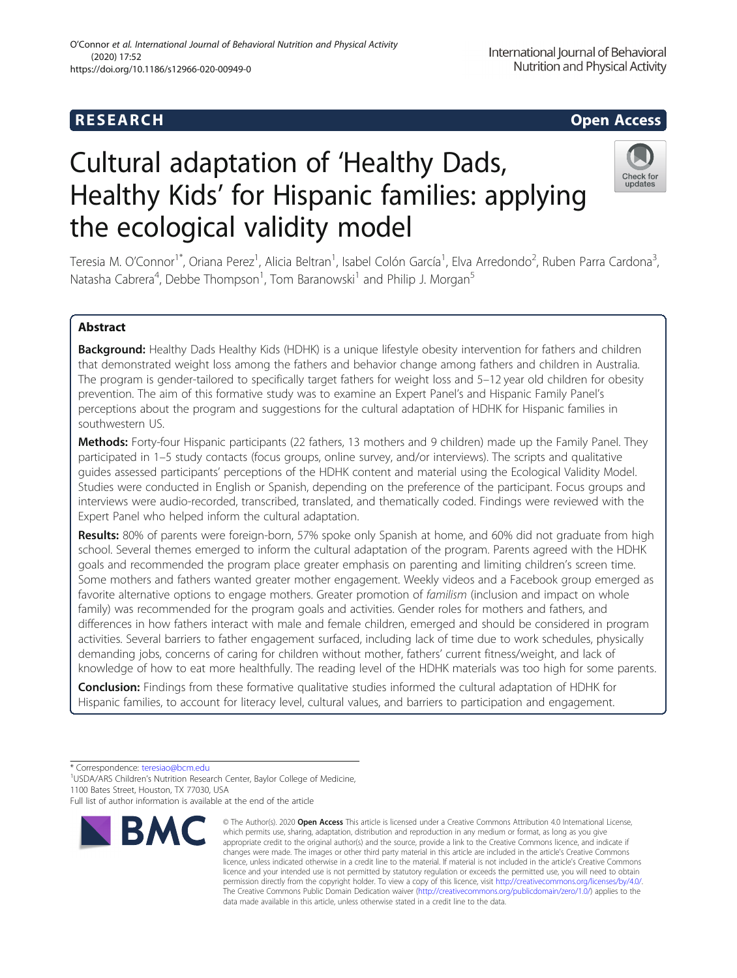## **RESEARCH CHILD CONTROL** CONTROL CONTROL CONTROL CONTROL CONTROL CONTROL CONTROL CONTROL CONTROL CONTROL CONTROL CONTROL CONTROL CONTROL CONTROL CONTROL CONTROL CONTROL CONTROL CONTROL CONTROL CONTROL CONTROL CONTROL CONTR

# Cultural adaptation of 'Healthy Dads, Healthy Kids' for Hispanic families: applying the ecological validity model

Teresia M. O'Connor<sup>1\*</sup>, Oriana Perez<sup>1</sup>, Alicia Beltran<sup>1</sup>, Isabel Colón García<sup>1</sup>, Elva Arredondo<sup>2</sup>, Ruben Parra Cardona<sup>3</sup> , Natasha Cabrera<sup>4</sup>, Debbe Thompson<sup>1</sup>, Tom Baranowski<sup>1</sup> and Philip J. Morgan<sup>5</sup>

### Abstract

Background: Healthy Dads Healthy Kids (HDHK) is a unique lifestyle obesity intervention for fathers and children that demonstrated weight loss among the fathers and behavior change among fathers and children in Australia. The program is gender-tailored to specifically target fathers for weight loss and 5–12 year old children for obesity prevention. The aim of this formative study was to examine an Expert Panel's and Hispanic Family Panel's perceptions about the program and suggestions for the cultural adaptation of HDHK for Hispanic families in southwestern US.

Methods: Forty-four Hispanic participants (22 fathers, 13 mothers and 9 children) made up the Family Panel. They participated in 1–5 study contacts (focus groups, online survey, and/or interviews). The scripts and qualitative guides assessed participants' perceptions of the HDHK content and material using the Ecological Validity Model. Studies were conducted in English or Spanish, depending on the preference of the participant. Focus groups and interviews were audio-recorded, transcribed, translated, and thematically coded. Findings were reviewed with the Expert Panel who helped inform the cultural adaptation.

Results: 80% of parents were foreign-born, 57% spoke only Spanish at home, and 60% did not graduate from high school. Several themes emerged to inform the cultural adaptation of the program. Parents agreed with the HDHK goals and recommended the program place greater emphasis on parenting and limiting children's screen time. Some mothers and fathers wanted greater mother engagement. Weekly videos and a Facebook group emerged as favorite alternative options to engage mothers. Greater promotion of familism (inclusion and impact on whole family) was recommended for the program goals and activities. Gender roles for mothers and fathers, and differences in how fathers interact with male and female children, emerged and should be considered in program activities. Several barriers to father engagement surfaced, including lack of time due to work schedules, physically demanding jobs, concerns of caring for children without mother, fathers' current fitness/weight, and lack of knowledge of how to eat more healthfully. The reading level of the HDHK materials was too high for some parents.

Conclusion: Findings from these formative qualitative studies informed the cultural adaptation of HDHK for Hispanic families, to account for literacy level, cultural values, and barriers to participation and engagement.





<sup>\*</sup> Correspondence: [teresiao@bcm.edu](mailto:teresiao@bcm.edu) <sup>1</sup>

<sup>&</sup>lt;sup>1</sup>USDA/ARS Children's Nutrition Research Center, Baylor College of Medicine, 1100 Bates Street, Houston, TX 77030, USA

Full list of author information is available at the end of the article

<sup>©</sup> The Author(s), 2020 **Open Access** This article is licensed under a Creative Commons Attribution 4.0 International License, which permits use, sharing, adaptation, distribution and reproduction in any medium or format, as long as you give appropriate credit to the original author(s) and the source, provide a link to the Creative Commons licence, and indicate if changes were made. The images or other third party material in this article are included in the article's Creative Commons licence, unless indicated otherwise in a credit line to the material. If material is not included in the article's Creative Commons licence and your intended use is not permitted by statutory regulation or exceeds the permitted use, you will need to obtain permission directly from the copyright holder. To view a copy of this licence, visit [http://creativecommons.org/licenses/by/4.0/.](http://creativecommons.org/licenses/by/4.0/) The Creative Commons Public Domain Dedication waiver [\(http://creativecommons.org/publicdomain/zero/1.0/](http://creativecommons.org/publicdomain/zero/1.0/)) applies to the data made available in this article, unless otherwise stated in a credit line to the data.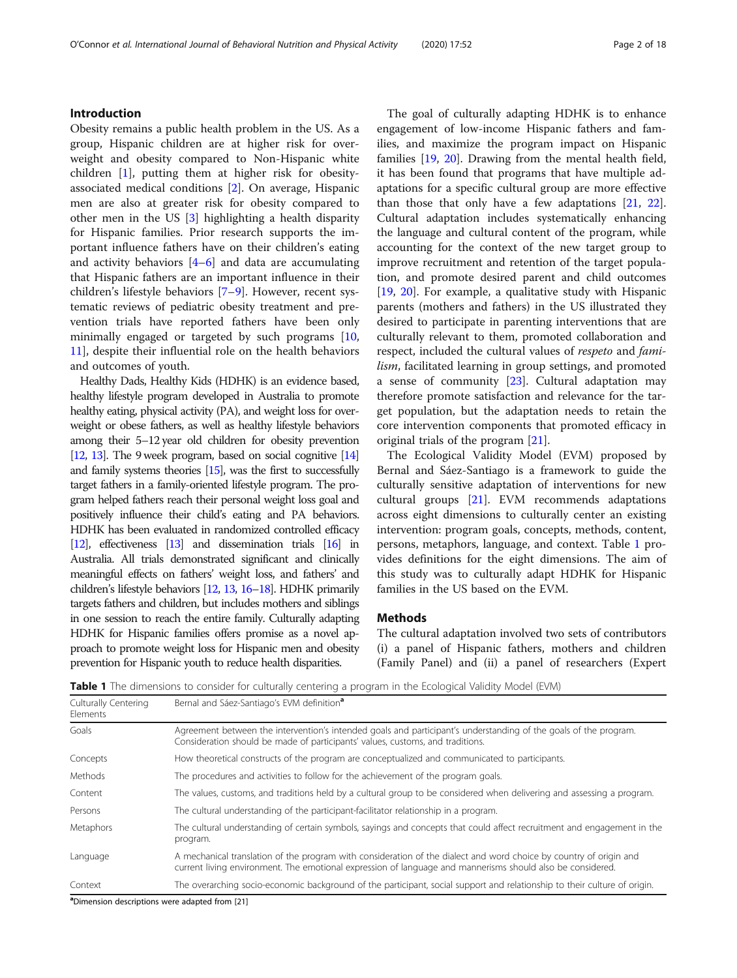#### Introduction

Obesity remains a public health problem in the US. As a group, Hispanic children are at higher risk for overweight and obesity compared to Non-Hispanic white children [[1\]](#page-16-0), putting them at higher risk for obesityassociated medical conditions [\[2](#page-16-0)]. On average, Hispanic men are also at greater risk for obesity compared to other men in the US [[3\]](#page-16-0) highlighting a health disparity for Hispanic families. Prior research supports the important influence fathers have on their children's eating and activity behaviors  $[4-6]$  $[4-6]$  $[4-6]$  $[4-6]$  and data are accumulating that Hispanic fathers are an important influence in their children's lifestyle behaviors [\[7](#page-16-0)–[9\]](#page-16-0). However, recent systematic reviews of pediatric obesity treatment and prevention trials have reported fathers have been only minimally engaged or targeted by such programs [[10](#page-16-0), [11\]](#page-16-0), despite their influential role on the health behaviors and outcomes of youth.

Healthy Dads, Healthy Kids (HDHK) is an evidence based, healthy lifestyle program developed in Australia to promote healthy eating, physical activity (PA), and weight loss for overweight or obese fathers, as well as healthy lifestyle behaviors among their 5–12 year old children for obesity prevention [[12,](#page-16-0) [13\]](#page-16-0). The 9 week program, based on social cognitive  $[14]$  $[14]$ and family systems theories [\[15\]](#page-16-0), was the first to successfully target fathers in a family-oriented lifestyle program. The program helped fathers reach their personal weight loss goal and positively influence their child's eating and PA behaviors. HDHK has been evaluated in randomized controlled efficacy [[12\]](#page-16-0), effectiveness [[13\]](#page-16-0) and dissemination trials [\[16\]](#page-16-0) in Australia. All trials demonstrated significant and clinically meaningful effects on fathers' weight loss, and fathers' and children's lifestyle behaviors [\[12](#page-16-0), [13,](#page-16-0) [16](#page-16-0)–[18](#page-16-0)]. HDHK primarily targets fathers and children, but includes mothers and siblings in one session to reach the entire family. Culturally adapting HDHK for Hispanic families offers promise as a novel approach to promote weight loss for Hispanic men and obesity prevention for Hispanic youth to reduce health disparities.

The goal of culturally adapting HDHK is to enhance engagement of low-income Hispanic fathers and families, and maximize the program impact on Hispanic families [\[19,](#page-16-0) [20\]](#page-16-0). Drawing from the mental health field, it has been found that programs that have multiple adaptations for a specific cultural group are more effective than those that only have a few adaptations [\[21](#page-16-0), [22](#page-16-0)]. Cultural adaptation includes systematically enhancing the language and cultural content of the program, while accounting for the context of the new target group to improve recruitment and retention of the target population, and promote desired parent and child outcomes [[19,](#page-16-0) [20\]](#page-16-0). For example, a qualitative study with Hispanic parents (mothers and fathers) in the US illustrated they desired to participate in parenting interventions that are culturally relevant to them, promoted collaboration and respect, included the cultural values of respeto and familism, facilitated learning in group settings, and promoted a sense of community [\[23](#page-16-0)]. Cultural adaptation may therefore promote satisfaction and relevance for the target population, but the adaptation needs to retain the core intervention components that promoted efficacy in original trials of the program [[21](#page-16-0)].

The Ecological Validity Model (EVM) proposed by Bernal and Sáez-Santiago is a framework to guide the culturally sensitive adaptation of interventions for new cultural groups [\[21](#page-16-0)]. EVM recommends adaptations across eight dimensions to culturally center an existing intervention: program goals, concepts, methods, content, persons, metaphors, language, and context. Table 1 provides definitions for the eight dimensions. The aim of this study was to culturally adapt HDHK for Hispanic families in the US based on the EVM.

#### **Methods**

The cultural adaptation involved two sets of contributors (i) a panel of Hispanic fathers, mothers and children (Family Panel) and (ii) a panel of researchers (Expert

Table 1 The dimensions to consider for culturally centering a program in the Ecological Validity Model (EVM)

| Culturally Centering<br>Elements | Bernal and Sáez-Santiago's EVM definition <sup>a</sup>                                                                                                                                                                           |
|----------------------------------|----------------------------------------------------------------------------------------------------------------------------------------------------------------------------------------------------------------------------------|
| Goals                            | Agreement between the intervention's intended goals and participant's understanding of the goals of the program.<br>Consideration should be made of participants' values, customs, and traditions.                               |
| Concepts                         | How theoretical constructs of the program are conceptualized and communicated to participants.                                                                                                                                   |
| Methods                          | The procedures and activities to follow for the achievement of the program goals.                                                                                                                                                |
| Content                          | The values, customs, and traditions held by a cultural group to be considered when delivering and assessing a program.                                                                                                           |
| Persons                          | The cultural understanding of the participant-facilitator relationship in a program.                                                                                                                                             |
| Metaphors                        | The cultural understanding of certain symbols, sayings and concepts that could affect recruitment and engagement in the<br>program.                                                                                              |
| Language                         | A mechanical translation of the program with consideration of the dialect and word choice by country of origin and<br>current living environment. The emotional expression of language and mannerisms should also be considered. |
| Context                          | The overarching socio-economic background of the participant, social support and relationship to their culture of origin.                                                                                                        |

<sup>a</sup> Dimension descriptions were adapted from [21]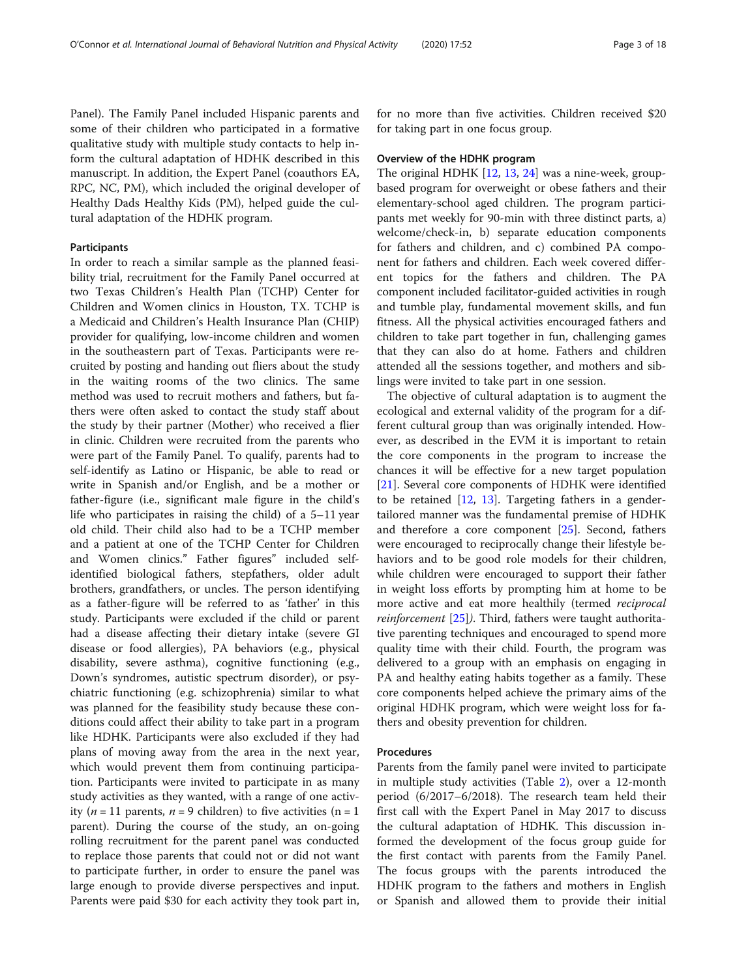Panel). The Family Panel included Hispanic parents and some of their children who participated in a formative qualitative study with multiple study contacts to help inform the cultural adaptation of HDHK described in this manuscript. In addition, the Expert Panel (coauthors EA, RPC, NC, PM), which included the original developer of Healthy Dads Healthy Kids (PM), helped guide the cultural adaptation of the HDHK program.

#### Participants

In order to reach a similar sample as the planned feasibility trial, recruitment for the Family Panel occurred at two Texas Children's Health Plan (TCHP) Center for Children and Women clinics in Houston, TX. TCHP is a Medicaid and Children's Health Insurance Plan (CHIP) provider for qualifying, low-income children and women in the southeastern part of Texas. Participants were recruited by posting and handing out fliers about the study in the waiting rooms of the two clinics. The same method was used to recruit mothers and fathers, but fathers were often asked to contact the study staff about the study by their partner (Mother) who received a flier in clinic. Children were recruited from the parents who were part of the Family Panel. To qualify, parents had to self-identify as Latino or Hispanic, be able to read or write in Spanish and/or English, and be a mother or father-figure (i.e., significant male figure in the child's life who participates in raising the child) of a 5–11 year old child. Their child also had to be a TCHP member and a patient at one of the TCHP Center for Children and Women clinics." Father figures" included selfidentified biological fathers, stepfathers, older adult brothers, grandfathers, or uncles. The person identifying as a father-figure will be referred to as 'father' in this study. Participants were excluded if the child or parent had a disease affecting their dietary intake (severe GI disease or food allergies), PA behaviors (e.g., physical disability, severe asthma), cognitive functioning (e.g., Down's syndromes, autistic spectrum disorder), or psychiatric functioning (e.g. schizophrenia) similar to what was planned for the feasibility study because these conditions could affect their ability to take part in a program like HDHK. Participants were also excluded if they had plans of moving away from the area in the next year, which would prevent them from continuing participation. Participants were invited to participate in as many study activities as they wanted, with a range of one activity (*n* = 11 parents, *n* = 9 children) to five activities (n = 1 parent). During the course of the study, an on-going rolling recruitment for the parent panel was conducted to replace those parents that could not or did not want to participate further, in order to ensure the panel was large enough to provide diverse perspectives and input. Parents were paid \$30 for each activity they took part in, for no more than five activities. Children received \$20 for taking part in one focus group.

#### Overview of the HDHK program

The original HDHK [[12,](#page-16-0) [13,](#page-16-0) [24](#page-16-0)] was a nine-week, groupbased program for overweight or obese fathers and their elementary-school aged children. The program participants met weekly for 90-min with three distinct parts, a) welcome/check-in, b) separate education components for fathers and children, and c) combined PA component for fathers and children. Each week covered different topics for the fathers and children. The PA component included facilitator-guided activities in rough and tumble play, fundamental movement skills, and fun fitness. All the physical activities encouraged fathers and children to take part together in fun, challenging games that they can also do at home. Fathers and children attended all the sessions together, and mothers and siblings were invited to take part in one session.

The objective of cultural adaptation is to augment the ecological and external validity of the program for a different cultural group than was originally intended. However, as described in the EVM it is important to retain the core components in the program to increase the chances it will be effective for a new target population [[21\]](#page-16-0). Several core components of HDHK were identified to be retained [[12,](#page-16-0) [13](#page-16-0)]. Targeting fathers in a gendertailored manner was the fundamental premise of HDHK and therefore a core component [[25\]](#page-16-0). Second, fathers were encouraged to reciprocally change their lifestyle behaviors and to be good role models for their children, while children were encouraged to support their father in weight loss efforts by prompting him at home to be more active and eat more healthily (termed reciprocal *reinforcement*  $[25]$  $[25]$ ). Third, fathers were taught authoritative parenting techniques and encouraged to spend more quality time with their child. Fourth, the program was delivered to a group with an emphasis on engaging in PA and healthy eating habits together as a family. These core components helped achieve the primary aims of the original HDHK program, which were weight loss for fathers and obesity prevention for children.

#### **Procedures**

Parents from the family panel were invited to participate in multiple study activities (Table [2](#page-3-0)), over a 12-month period (6/2017–6/2018). The research team held their first call with the Expert Panel in May 2017 to discuss the cultural adaptation of HDHK. This discussion informed the development of the focus group guide for the first contact with parents from the Family Panel. The focus groups with the parents introduced the HDHK program to the fathers and mothers in English or Spanish and allowed them to provide their initial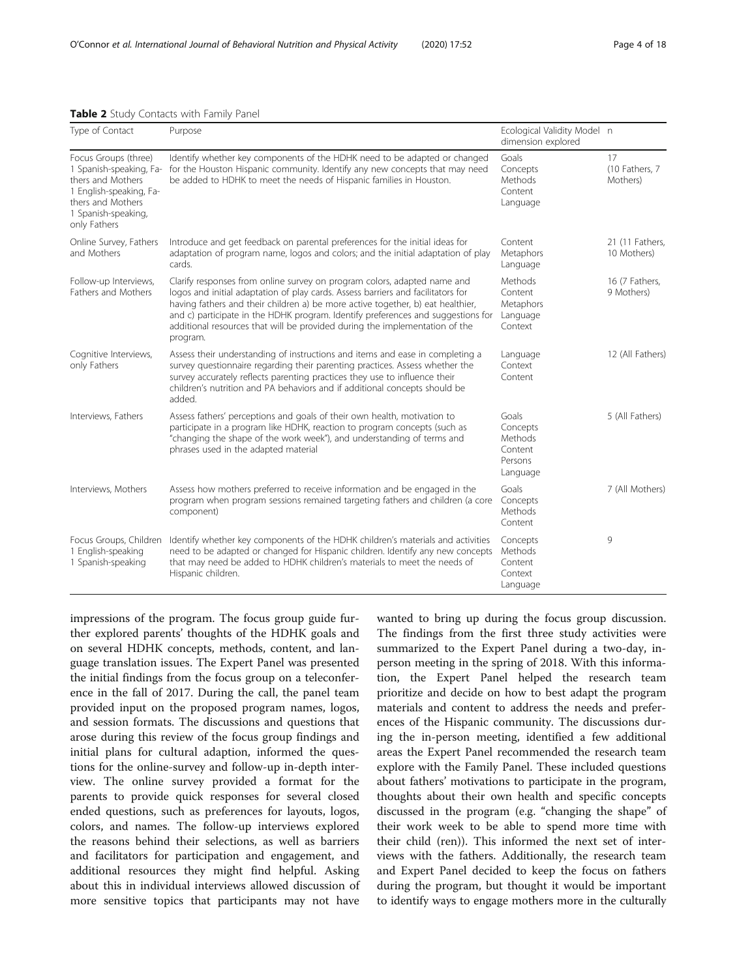| Type of Contact                                                                                                                                             | Purpose                                                                                                                                                                                                                                                                                                                                                                                                                        | Ecological Validity Model n<br>dimension explored              |                                  |
|-------------------------------------------------------------------------------------------------------------------------------------------------------------|--------------------------------------------------------------------------------------------------------------------------------------------------------------------------------------------------------------------------------------------------------------------------------------------------------------------------------------------------------------------------------------------------------------------------------|----------------------------------------------------------------|----------------------------------|
| Focus Groups (three)<br>1 Spanish-speaking, Fa-<br>thers and Mothers<br>1 English-speaking, Fa-<br>thers and Mothers<br>1 Spanish-speaking,<br>only Fathers | Identify whether key components of the HDHK need to be adapted or changed<br>for the Houston Hispanic community. Identify any new concepts that may need<br>be added to HDHK to meet the needs of Hispanic families in Houston.                                                                                                                                                                                                | Goals<br>Concepts<br>Methods<br>Content<br>Language            | 17<br>(10 Fathers, 7<br>Mothers) |
| Online Survey, Fathers<br>and Mothers                                                                                                                       | Introduce and get feedback on parental preferences for the initial ideas for<br>adaptation of program name, logos and colors; and the initial adaptation of play<br>cards.                                                                                                                                                                                                                                                     | Content<br>Metaphors<br>Language                               | 21 (11 Fathers,<br>10 Mothers)   |
| Follow-up Interviews,<br>Fathers and Mothers                                                                                                                | Clarify responses from online survey on program colors, adapted name and<br>logos and initial adaptation of play cards. Assess barriers and facilitators for<br>having fathers and their children a) be more active together, b) eat healthier,<br>and c) participate in the HDHK program. Identify preferences and suggestions for<br>additional resources that will be provided during the implementation of the<br>program. | Methods<br>Content<br>Metaphors<br>Language<br>Context         | 16 (7 Fathers,<br>9 Mothers)     |
| Cognitive Interviews,<br>only Fathers                                                                                                                       | Assess their understanding of instructions and items and ease in completing a<br>survey questionnaire regarding their parenting practices. Assess whether the<br>survey accurately reflects parenting practices they use to influence their<br>children's nutrition and PA behaviors and if additional concepts should be<br>added.                                                                                            | Language<br>Context<br>Content                                 | 12 (All Fathers)                 |
| Interviews, Fathers                                                                                                                                         | Assess fathers' perceptions and goals of their own health, motivation to<br>participate in a program like HDHK, reaction to program concepts (such as<br>"changing the shape of the work week"), and understanding of terms and<br>phrases used in the adapted material                                                                                                                                                        | Goals<br>Concepts<br>Methods<br>Content<br>Persons<br>Language | 5 (All Fathers)                  |
| Interviews, Mothers                                                                                                                                         | Assess how mothers preferred to receive information and be engaged in the<br>program when program sessions remained targeting fathers and children (a core<br>component)                                                                                                                                                                                                                                                       | Goals<br>Concepts<br>Methods<br>Content                        | 7 (All Mothers)                  |
| Focus Groups, Children<br>1 English-speaking<br>1 Spanish-speaking                                                                                          | Identify whether key components of the HDHK children's materials and activities<br>need to be adapted or changed for Hispanic children. Identify any new concepts<br>that may need be added to HDHK children's materials to meet the needs of<br>Hispanic children.                                                                                                                                                            | Concepts<br>Methods<br>Content<br>Context<br>Language          | 9                                |

<span id="page-3-0"></span>Table 2 Study Contacts with Family Panel

impressions of the program. The focus group guide further explored parents' thoughts of the HDHK goals and on several HDHK concepts, methods, content, and language translation issues. The Expert Panel was presented the initial findings from the focus group on a teleconference in the fall of 2017. During the call, the panel team provided input on the proposed program names, logos, and session formats. The discussions and questions that arose during this review of the focus group findings and initial plans for cultural adaption, informed the questions for the online-survey and follow-up in-depth interview. The online survey provided a format for the parents to provide quick responses for several closed ended questions, such as preferences for layouts, logos, colors, and names. The follow-up interviews explored the reasons behind their selections, as well as barriers and facilitators for participation and engagement, and additional resources they might find helpful. Asking about this in individual interviews allowed discussion of more sensitive topics that participants may not have wanted to bring up during the focus group discussion. The findings from the first three study activities were summarized to the Expert Panel during a two-day, inperson meeting in the spring of 2018. With this information, the Expert Panel helped the research team prioritize and decide on how to best adapt the program materials and content to address the needs and preferences of the Hispanic community. The discussions during the in-person meeting, identified a few additional areas the Expert Panel recommended the research team explore with the Family Panel. These included questions about fathers' motivations to participate in the program, thoughts about their own health and specific concepts discussed in the program (e.g. "changing the shape" of their work week to be able to spend more time with their child (ren)). This informed the next set of interviews with the fathers. Additionally, the research team and Expert Panel decided to keep the focus on fathers during the program, but thought it would be important to identify ways to engage mothers more in the culturally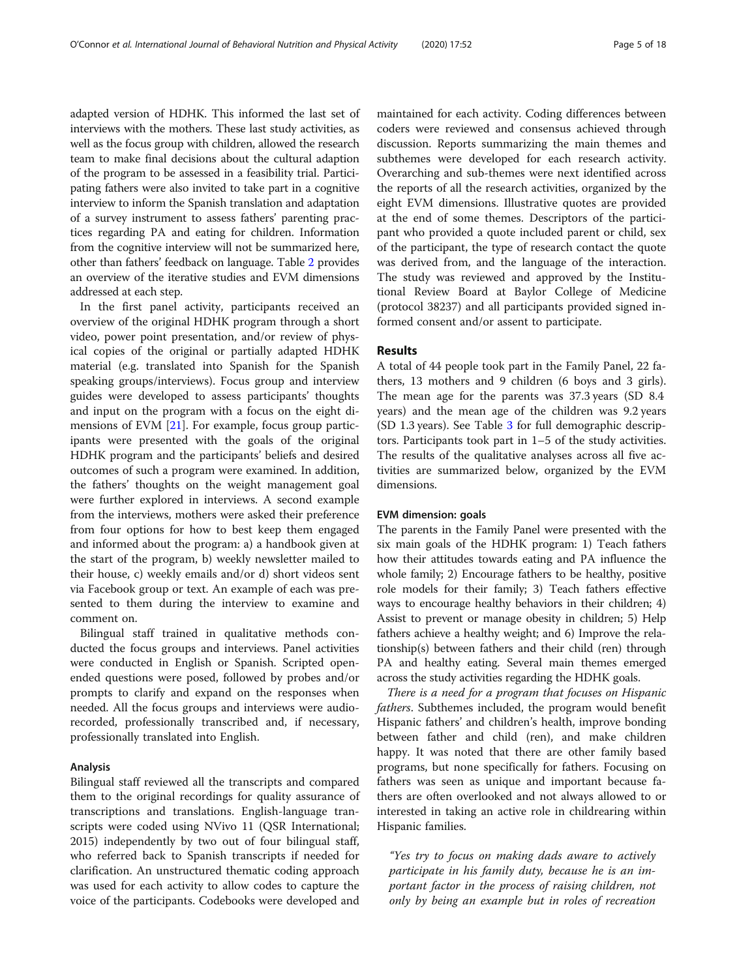adapted version of HDHK. This informed the last set of interviews with the mothers. These last study activities, as well as the focus group with children, allowed the research team to make final decisions about the cultural adaption of the program to be assessed in a feasibility trial. Participating fathers were also invited to take part in a cognitive interview to inform the Spanish translation and adaptation of a survey instrument to assess fathers' parenting practices regarding PA and eating for children. Information from the cognitive interview will not be summarized here, other than fathers' feedback on language. Table [2](#page-3-0) provides an overview of the iterative studies and EVM dimensions addressed at each step.

In the first panel activity, participants received an overview of the original HDHK program through a short video, power point presentation, and/or review of physical copies of the original or partially adapted HDHK material (e.g. translated into Spanish for the Spanish speaking groups/interviews). Focus group and interview guides were developed to assess participants' thoughts and input on the program with a focus on the eight dimensions of EVM [\[21](#page-16-0)]. For example, focus group participants were presented with the goals of the original HDHK program and the participants' beliefs and desired outcomes of such a program were examined. In addition, the fathers' thoughts on the weight management goal were further explored in interviews. A second example from the interviews, mothers were asked their preference from four options for how to best keep them engaged and informed about the program: a) a handbook given at the start of the program, b) weekly newsletter mailed to their house, c) weekly emails and/or d) short videos sent via Facebook group or text. An example of each was presented to them during the interview to examine and comment on.

Bilingual staff trained in qualitative methods conducted the focus groups and interviews. Panel activities were conducted in English or Spanish. Scripted openended questions were posed, followed by probes and/or prompts to clarify and expand on the responses when needed. All the focus groups and interviews were audiorecorded, professionally transcribed and, if necessary, professionally translated into English.

#### Analysis

Bilingual staff reviewed all the transcripts and compared them to the original recordings for quality assurance of transcriptions and translations. English-language transcripts were coded using NVivo 11 (QSR International; 2015) independently by two out of four bilingual staff, who referred back to Spanish transcripts if needed for clarification. An unstructured thematic coding approach was used for each activity to allow codes to capture the voice of the participants. Codebooks were developed and maintained for each activity. Coding differences between coders were reviewed and consensus achieved through discussion. Reports summarizing the main themes and subthemes were developed for each research activity. Overarching and sub-themes were next identified across the reports of all the research activities, organized by the eight EVM dimensions. Illustrative quotes are provided at the end of some themes. Descriptors of the participant who provided a quote included parent or child, sex of the participant, the type of research contact the quote was derived from, and the language of the interaction. The study was reviewed and approved by the Institutional Review Board at Baylor College of Medicine (protocol 38237) and all participants provided signed informed consent and/or assent to participate.

#### Results

A total of 44 people took part in the Family Panel, 22 fathers, 13 mothers and 9 children (6 boys and 3 girls). The mean age for the parents was 37.3 years (SD 8.4 years) and the mean age of the children was 9.2 years (SD 1.3 years). See Table [3](#page-5-0) for full demographic descriptors. Participants took part in 1–5 of the study activities. The results of the qualitative analyses across all five activities are summarized below, organized by the EVM dimensions.

#### EVM dimension: goals

The parents in the Family Panel were presented with the six main goals of the HDHK program: 1) Teach fathers how their attitudes towards eating and PA influence the whole family; 2) Encourage fathers to be healthy, positive role models for their family; 3) Teach fathers effective ways to encourage healthy behaviors in their children; 4) Assist to prevent or manage obesity in children; 5) Help fathers achieve a healthy weight; and 6) Improve the relationship(s) between fathers and their child (ren) through PA and healthy eating. Several main themes emerged across the study activities regarding the HDHK goals.

There is a need for a program that focuses on Hispanic fathers. Subthemes included, the program would benefit Hispanic fathers' and children's health, improve bonding between father and child (ren), and make children happy. It was noted that there are other family based programs, but none specifically for fathers. Focusing on fathers was seen as unique and important because fathers are often overlooked and not always allowed to or interested in taking an active role in childrearing within Hispanic families.

"Yes try to focus on making dads aware to actively participate in his family duty, because he is an important factor in the process of raising children, not only by being an example but in roles of recreation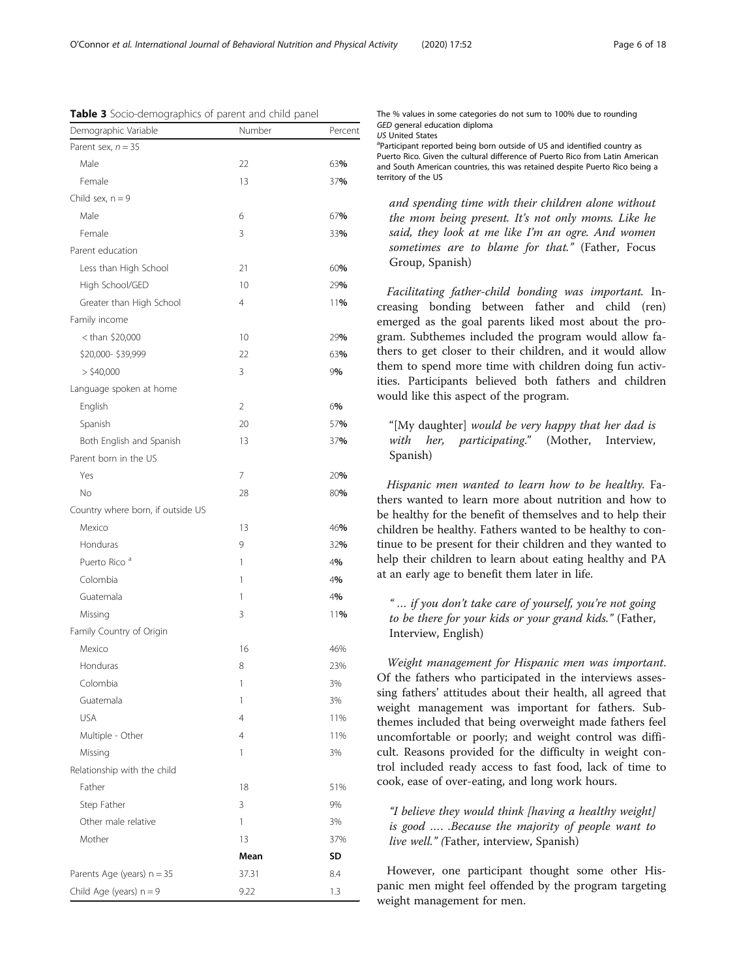<span id="page-5-0"></span>O'Connor et al. International Journal of Behavioral Nutrition and Physical Activity (2020) 17:52 Page 6 of 18

| Table 3 Socio-demographics of parent and child panel<br>Demographic Variable | Number | Percent |
|------------------------------------------------------------------------------|--------|---------|
| Parent sex, $n = 35$                                                         |        |         |
| Male                                                                         | 22     | 63%     |
| Female                                                                       | 13     | 37%     |
| Child sex, $n = 9$                                                           |        |         |
| Male                                                                         | 6      | 67%     |
| Female                                                                       | 3      | 33%     |
| Parent education                                                             |        |         |
| Less than High School                                                        | 21     | 60%     |
| High School/GED                                                              | 10     | 29%     |
| Greater than High School                                                     | 4      | 11%     |
| Family income                                                                |        |         |
| <than \$20,000<="" td=""><td>10</td><td>29%</td></than>                      | 10     | 29%     |
| \$20,000-\$39,999                                                            | 22     | 63%     |
| $>$ \$40,000                                                                 | 3      | 9%      |
| Language spoken at home                                                      |        |         |
| English                                                                      | 2      | 6%      |
| Spanish                                                                      | 20     | 57%     |
| Both English and Spanish                                                     | 13     | 37%     |
| Parent born in the US                                                        |        |         |
| Yes                                                                          | 7      | 20%     |
| No                                                                           | 28     | 80%     |
| Country where born, if outside US                                            |        |         |
| Mexico                                                                       | 13     | 46%     |
| Honduras                                                                     | 9      | 32%     |
| Puerto Rico <sup>a</sup>                                                     | 1      | 4%      |
| Colombia                                                                     | 1      | 4%      |
| Guatemala                                                                    | 1      | 4%      |
| Missing                                                                      | 3      | 11%     |
| Family Country of Origin                                                     |        |         |
| Mexico                                                                       | 16     | 46%     |
| Honduras                                                                     | 8      | 23%     |
| Colombia                                                                     | 1      | 3%      |
| Guatemala                                                                    | 1      | 3%      |
| <b>USA</b>                                                                   | 4      | 11%     |
| Multiple - Other                                                             | 4      | 11%     |
| Missing                                                                      | 1      | 3%      |
| Relationship with the child                                                  |        |         |
| Father                                                                       |        |         |
|                                                                              | 18     | 51%     |
| Step Father                                                                  | 3      | 9%      |
| Other male relative                                                          | 1      | 3%      |
| Mother                                                                       | 13     | 37%     |
|                                                                              | Mean   | SD      |
| Parents Age (years) $n = 35$                                                 | 37.31  | 8.4     |
| Child Age (years) $n = 9$                                                    | 9.22   | 1.3     |

The % values in some categories do not sum to 100% due to rounding GED general education diploma

US United States<br><sup>a</sup>Participant reported being born outside of US and identified country as Puerto Rico. Given the cultural difference of Puerto Rico from Latin American and South American countries, this was retained despite Puerto Rico being a territory of the US

and spending time with their children alone without the mom being present. It's not only moms. Like he said, they look at me like I'm an ogre. And women sometimes are to blame for that." (Father, Focus Group, Spanish)

Facilitating father-child bonding was important. Increasing bonding between father and child (ren) emerged as the goal parents liked most about the program. Subthemes included the program would allow fathers to get closer to their children, and it would allow them to spend more time with children doing fun activities. Participants believed both fathers and children would like this aspect of the program.

"[My daughter] would be very happy that her dad is with her, participating." (Mother, Interview, Spanish)

Hispanic men wanted to learn how to be healthy. Fathers wanted to learn more about nutrition and how to be healthy for the benefit of themselves and to help their children be healthy. Fathers wanted to be healthy to continue to be present for their children and they wanted to help their children to learn about eating healthy and PA at an early age to benefit them later in life.

" … if you don't take care of yourself, you're not going to be there for your kids or your grand kids." (Father, Interview, English)

Weight management for Hispanic men was important. Of the fathers who participated in the interviews assessing fathers' attitudes about their health, all agreed that weight management was important for fathers. Subthemes included that being overweight made fathers feel uncomfortable or poorly; and weight control was difficult. Reasons provided for the difficulty in weight control included ready access to fast food, lack of time to cook, ease of over-eating, and long work hours.

"I believe they would think [having a healthy weight] is good …. .Because the majority of people want to live well." (Father, interview, Spanish)

However, one participant thought some other Hispanic men might feel offended by the program targeting weight management for men.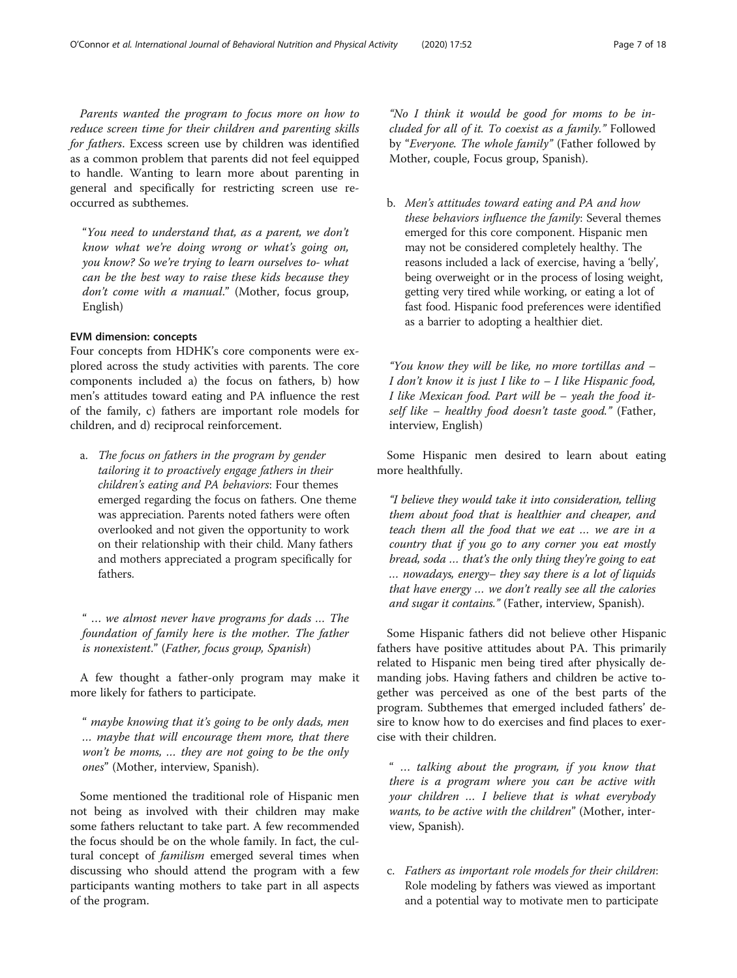Parents wanted the program to focus more on how to reduce screen time for their children and parenting skills for fathers. Excess screen use by children was identified as a common problem that parents did not feel equipped to handle. Wanting to learn more about parenting in general and specifically for restricting screen use reoccurred as subthemes.

"You need to understand that, as a parent, we don't know what we're doing wrong or what's going on, you know? So we're trying to learn ourselves to- what can be the best way to raise these kids because they don't come with a manual." (Mother, focus group, English)

#### EVM dimension: concepts

Four concepts from HDHK's core components were explored across the study activities with parents. The core components included a) the focus on fathers, b) how men's attitudes toward eating and PA influence the rest of the family, c) fathers are important role models for children, and d) reciprocal reinforcement.

a. The focus on fathers in the program by gender tailoring it to proactively engage fathers in their children's eating and PA behaviors: Four themes emerged regarding the focus on fathers. One theme was appreciation. Parents noted fathers were often overlooked and not given the opportunity to work on their relationship with their child. Many fathers and mothers appreciated a program specifically for fathers.

" … we almost never have programs for dads … The foundation of family here is the mother. The father is nonexistent." (Father, focus group, Spanish)

A few thought a father-only program may make it more likely for fathers to participate.

" maybe knowing that it's going to be only dads, men … maybe that will encourage them more, that there won't be moms, … they are not going to be the only ones" (Mother, interview, Spanish).

Some mentioned the traditional role of Hispanic men not being as involved with their children may make some fathers reluctant to take part. A few recommended the focus should be on the whole family. In fact, the cultural concept of *familism* emerged several times when discussing who should attend the program with a few participants wanting mothers to take part in all aspects of the program.

"No I think it would be good for moms to be included for all of it. To coexist as a family." Followed by "Everyone. The whole family" (Father followed by Mother, couple, Focus group, Spanish).

b. Men's attitudes toward eating and PA and how these behaviors influence the family: Several themes emerged for this core component. Hispanic men may not be considered completely healthy. The reasons included a lack of exercise, having a 'belly', being overweight or in the process of losing weight, getting very tired while working, or eating a lot of fast food. Hispanic food preferences were identified as a barrier to adopting a healthier diet.

"You know they will be like, no more tortillas and – I don't know it is just I like to – I like Hispanic food, I like Mexican food. Part will be – yeah the food itself like – healthy food doesn't taste good." (Father, interview, English)

Some Hispanic men desired to learn about eating more healthfully.

"I believe they would take it into consideration, telling them about food that is healthier and cheaper, and teach them all the food that we eat … we are in a country that if you go to any corner you eat mostly bread, soda … that's the only thing they're going to eat … nowadays, energy– they say there is a lot of liquids that have energy … we don't really see all the calories and sugar it contains." (Father, interview, Spanish).

Some Hispanic fathers did not believe other Hispanic fathers have positive attitudes about PA. This primarily related to Hispanic men being tired after physically demanding jobs. Having fathers and children be active together was perceived as one of the best parts of the program. Subthemes that emerged included fathers' desire to know how to do exercises and find places to exercise with their children.

" … talking about the program, if you know that there is a program where you can be active with your children … I believe that is what everybody wants, to be active with the children" (Mother, interview, Spanish).

c. Fathers as important role models for their children: Role modeling by fathers was viewed as important and a potential way to motivate men to participate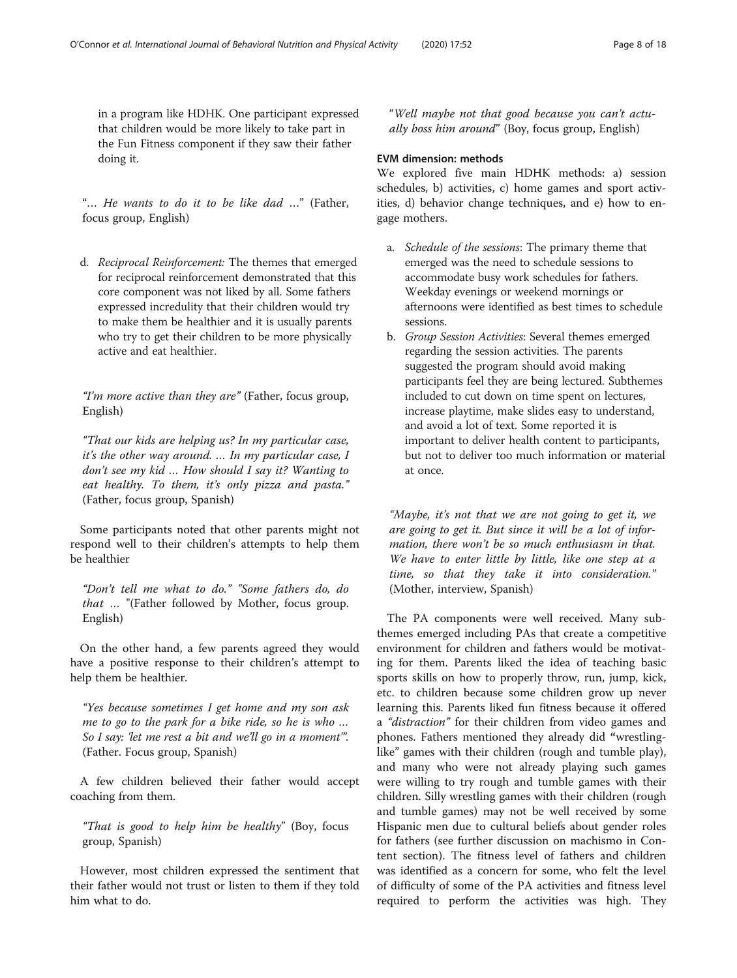in a program like HDHK. One participant expressed that children would be more likely to take part in the Fun Fitness component if they saw their father doing it.

"… He wants to do it to be like dad …" (Father, focus group, English)

d. Reciprocal Reinforcement: The themes that emerged for reciprocal reinforcement demonstrated that this core component was not liked by all. Some fathers expressed incredulity that their children would try to make them be healthier and it is usually parents who try to get their children to be more physically active and eat healthier.

"I'm more active than they are" (Father, focus group, English)

"That our kids are helping us? In my particular case, it's the other way around. … In my particular case, I don't see my kid … How should I say it? Wanting to eat healthy. To them, it's only pizza and pasta." (Father, focus group, Spanish)

Some participants noted that other parents might not respond well to their children's attempts to help them be healthier

"Don't tell me what to do." "Some fathers do, do that … "(Father followed by Mother, focus group. English)

On the other hand, a few parents agreed they would have a positive response to their children's attempt to help them be healthier.

"Yes because sometimes I get home and my son ask me to go to the park for a bike ride, so he is who … So I say: 'let me rest a bit and we'll go in a moment'". (Father. Focus group, Spanish)

A few children believed their father would accept coaching from them.

"That is good to help him be healthy" (Boy, focus group, Spanish)

However, most children expressed the sentiment that their father would not trust or listen to them if they told him what to do.

"Well maybe not that good because you can't actually boss him around" (Boy, focus group, English)

#### EVM dimension: methods

We explored five main HDHK methods: a) session schedules, b) activities, c) home games and sport activities, d) behavior change techniques, and e) how to engage mothers.

- a. Schedule of the sessions: The primary theme that emerged was the need to schedule sessions to accommodate busy work schedules for fathers. Weekday evenings or weekend mornings or afternoons were identified as best times to schedule sessions.
- b. Group Session Activities: Several themes emerged regarding the session activities. The parents suggested the program should avoid making participants feel they are being lectured. Subthemes included to cut down on time spent on lectures, increase playtime, make slides easy to understand, and avoid a lot of text. Some reported it is important to deliver health content to participants, but not to deliver too much information or material at once.

"Maybe, it's not that we are not going to get it, we are going to get it. But since it will be a lot of information, there won't be so much enthusiasm in that. We have to enter little by little, like one step at a time, so that they take it into consideration." (Mother, interview, Spanish)

The PA components were well received. Many subthemes emerged including PAs that create a competitive environment for children and fathers would be motivating for them. Parents liked the idea of teaching basic sports skills on how to properly throw, run, jump, kick, etc. to children because some children grow up never learning this. Parents liked fun fitness because it offered a "distraction" for their children from video games and phones. Fathers mentioned they already did "wrestlinglike" games with their children (rough and tumble play), and many who were not already playing such games were willing to try rough and tumble games with their children. Silly wrestling games with their children (rough and tumble games) may not be well received by some Hispanic men due to cultural beliefs about gender roles for fathers (see further discussion on machismo in Content section). The fitness level of fathers and children was identified as a concern for some, who felt the level of difficulty of some of the PA activities and fitness level required to perform the activities was high. They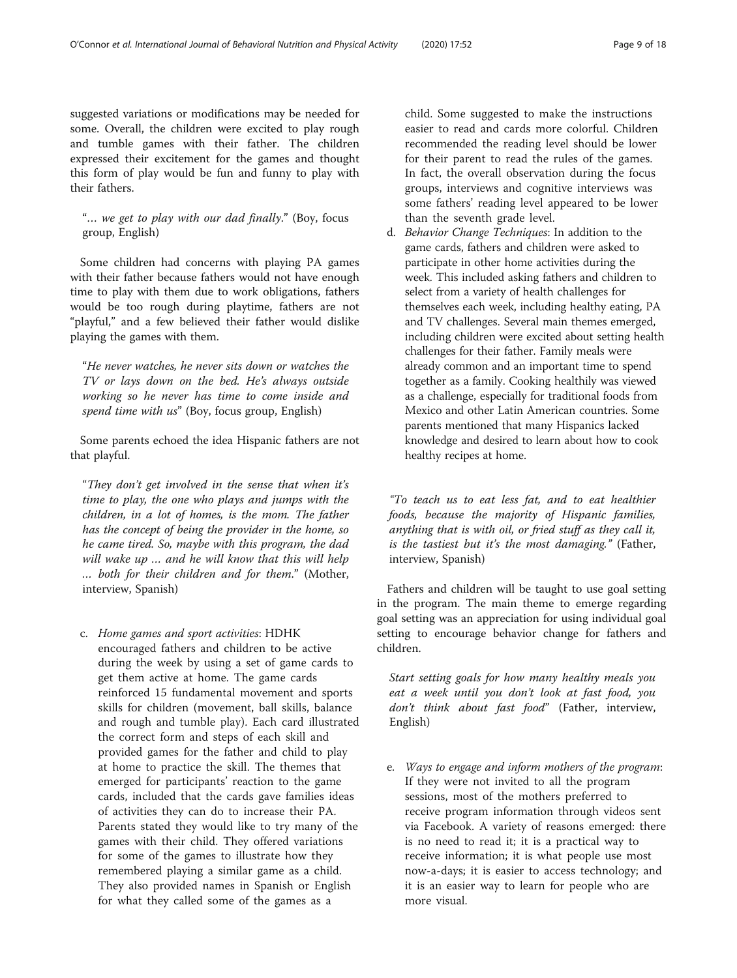suggested variations or modifications may be needed for some. Overall, the children were excited to play rough and tumble games with their father. The children expressed their excitement for the games and thought this form of play would be fun and funny to play with their fathers.

#### "… we get to play with our dad finally." (Boy, focus group, English)

Some children had concerns with playing PA games with their father because fathers would not have enough time to play with them due to work obligations, fathers would be too rough during playtime, fathers are not "playful," and a few believed their father would dislike playing the games with them.

"He never watches, he never sits down or watches the TV or lays down on the bed. He's always outside working so he never has time to come inside and spend time with us" (Boy, focus group, English)

Some parents echoed the idea Hispanic fathers are not that playful.

"They don't get involved in the sense that when it's time to play, the one who plays and jumps with the children, in a lot of homes, is the mom. The father has the concept of being the provider in the home, so he came tired. So, maybe with this program, the dad will wake up … and he will know that this will help … both for their children and for them." (Mother, interview, Spanish)

c. Home games and sport activities: HDHK encouraged fathers and children to be active during the week by using a set of game cards to get them active at home. The game cards reinforced 15 fundamental movement and sports skills for children (movement, ball skills, balance and rough and tumble play). Each card illustrated the correct form and steps of each skill and provided games for the father and child to play at home to practice the skill. The themes that emerged for participants' reaction to the game cards, included that the cards gave families ideas of activities they can do to increase their PA. Parents stated they would like to try many of the games with their child. They offered variations for some of the games to illustrate how they remembered playing a similar game as a child. They also provided names in Spanish or English for what they called some of the games as a

child. Some suggested to make the instructions easier to read and cards more colorful. Children recommended the reading level should be lower for their parent to read the rules of the games. In fact, the overall observation during the focus groups, interviews and cognitive interviews was some fathers' reading level appeared to be lower than the seventh grade level.

d. Behavior Change Techniques: In addition to the game cards, fathers and children were asked to participate in other home activities during the week. This included asking fathers and children to select from a variety of health challenges for themselves each week, including healthy eating, PA and TV challenges. Several main themes emerged, including children were excited about setting health challenges for their father. Family meals were already common and an important time to spend together as a family. Cooking healthily was viewed as a challenge, especially for traditional foods from Mexico and other Latin American countries. Some parents mentioned that many Hispanics lacked knowledge and desired to learn about how to cook healthy recipes at home.

"To teach us to eat less fat, and to eat healthier foods, because the majority of Hispanic families, anything that is with oil, or fried stuff as they call it, is the tastiest but it's the most damaging." (Father, interview, Spanish)

Fathers and children will be taught to use goal setting in the program. The main theme to emerge regarding goal setting was an appreciation for using individual goal setting to encourage behavior change for fathers and children.

Start setting goals for how many healthy meals you eat a week until you don't look at fast food, you don't think about fast food" (Father, interview, English)

e. Ways to engage and inform mothers of the program: If they were not invited to all the program sessions, most of the mothers preferred to receive program information through videos sent via Facebook. A variety of reasons emerged: there is no need to read it; it is a practical way to receive information; it is what people use most now-a-days; it is easier to access technology; and it is an easier way to learn for people who are more visual.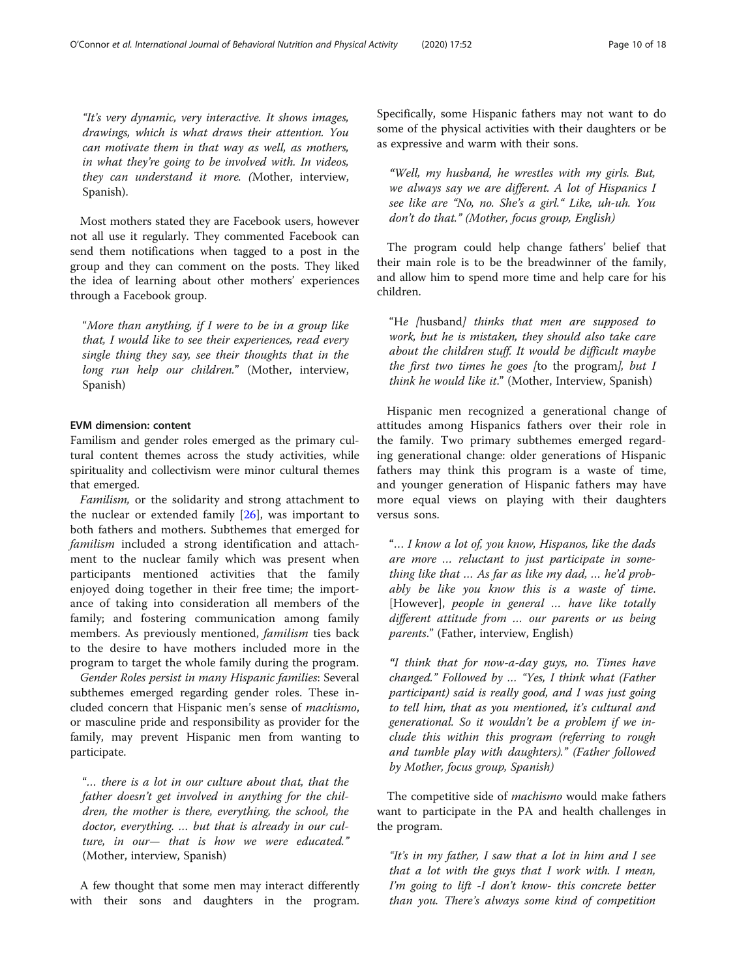"It's very dynamic, very interactive. It shows images, drawings, which is what draws their attention. You can motivate them in that way as well, as mothers, in what they're going to be involved with. In videos, they can understand it more. (Mother, interview, Spanish).

Most mothers stated they are Facebook users, however not all use it regularly. They commented Facebook can send them notifications when tagged to a post in the group and they can comment on the posts. They liked the idea of learning about other mothers' experiences through a Facebook group.

"More than anything, if I were to be in a group like that, I would like to see their experiences, read every single thing they say, see their thoughts that in the long run help our children." (Mother, interview, Spanish)

#### EVM dimension: content

Familism and gender roles emerged as the primary cultural content themes across the study activities, while spirituality and collectivism were minor cultural themes that emerged.

Familism, or the solidarity and strong attachment to the nuclear or extended family [\[26](#page-16-0)], was important to both fathers and mothers. Subthemes that emerged for familism included a strong identification and attachment to the nuclear family which was present when participants mentioned activities that the family enjoyed doing together in their free time; the importance of taking into consideration all members of the family; and fostering communication among family members. As previously mentioned, familism ties back to the desire to have mothers included more in the program to target the whole family during the program.

Gender Roles persist in many Hispanic families: Several subthemes emerged regarding gender roles. These included concern that Hispanic men's sense of machismo, or masculine pride and responsibility as provider for the family, may prevent Hispanic men from wanting to participate.

"… there is a lot in our culture about that, that the father doesn't get involved in anything for the children, the mother is there, everything, the school, the doctor, everything. … but that is already in our culture, in our— that is how we were educated." (Mother, interview, Spanish)

A few thought that some men may interact differently with their sons and daughters in the program. Specifically, some Hispanic fathers may not want to do some of the physical activities with their daughters or be as expressive and warm with their sons.

"Well, my husband, he wrestles with my girls. But, we always say we are different. A lot of Hispanics I see like are "No, no. She's a girl." Like, uh-uh. You don't do that." (Mother, focus group, English)

The program could help change fathers' belief that their main role is to be the breadwinner of the family, and allow him to spend more time and help care for his children.

"He [husband] thinks that men are supposed to work, but he is mistaken, they should also take care about the children stuff. It would be difficult maybe the first two times he goes  $[$  to the program $]$ , but  $I$ think he would like it." (Mother, Interview, Spanish)

Hispanic men recognized a generational change of attitudes among Hispanics fathers over their role in the family. Two primary subthemes emerged regarding generational change: older generations of Hispanic fathers may think this program is a waste of time, and younger generation of Hispanic fathers may have more equal views on playing with their daughters versus sons.

"… I know a lot of, you know, Hispanos, like the dads are more … reluctant to just participate in something like that … As far as like my dad, … he'd probably be like you know this is a waste of time. [However], people in general ... have like totally different attitude from … our parents or us being parents." (Father, interview, English)

"I think that for now-a-day guys, no. Times have changed." Followed by … "Yes, I think what (Father participant) said is really good, and I was just going to tell him, that as you mentioned, it's cultural and generational. So it wouldn't be a problem if we include this within this program (referring to rough and tumble play with daughters)." (Father followed by Mother, focus group, Spanish)

The competitive side of *machismo* would make fathers want to participate in the PA and health challenges in the program.

"It's in my father, I saw that a lot in him and I see that a lot with the guys that I work with. I mean, I'm going to lift -I don't know- this concrete better than you. There's always some kind of competition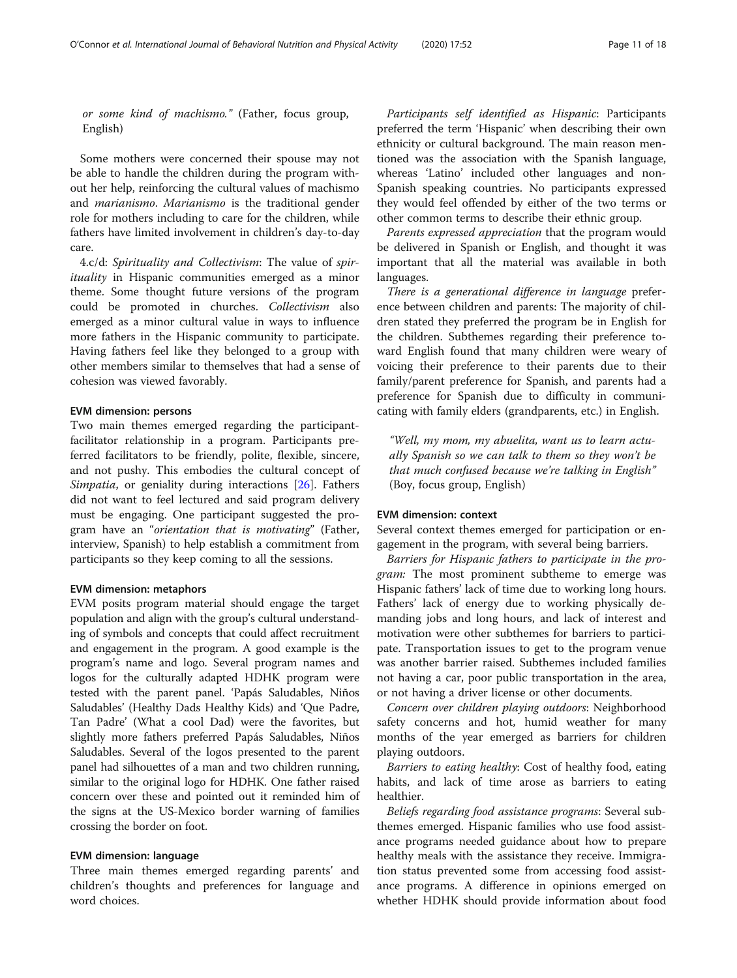or some kind of machismo." (Father, focus group, English)

Some mothers were concerned their spouse may not be able to handle the children during the program without her help, reinforcing the cultural values of machismo and marianismo. Marianismo is the traditional gender role for mothers including to care for the children, while fathers have limited involvement in children's day-to-day care.

4.c/d: Spirituality and Collectivism: The value of spirituality in Hispanic communities emerged as a minor theme. Some thought future versions of the program could be promoted in churches. Collectivism also emerged as a minor cultural value in ways to influence more fathers in the Hispanic community to participate. Having fathers feel like they belonged to a group with other members similar to themselves that had a sense of cohesion was viewed favorably.

#### EVM dimension: persons

Two main themes emerged regarding the participantfacilitator relationship in a program. Participants preferred facilitators to be friendly, polite, flexible, sincere, and not pushy. This embodies the cultural concept of Simpatia, or geniality during interactions [[26\]](#page-16-0). Fathers did not want to feel lectured and said program delivery must be engaging. One participant suggested the program have an "orientation that is motivating" (Father, interview, Spanish) to help establish a commitment from participants so they keep coming to all the sessions.

#### EVM dimension: metaphors

EVM posits program material should engage the target population and align with the group's cultural understanding of symbols and concepts that could affect recruitment and engagement in the program. A good example is the program's name and logo. Several program names and logos for the culturally adapted HDHK program were tested with the parent panel. 'Papás Saludables, Niños Saludables' (Healthy Dads Healthy Kids) and 'Que Padre, Tan Padre' (What a cool Dad) were the favorites, but slightly more fathers preferred Papás Saludables, Niños Saludables. Several of the logos presented to the parent panel had silhouettes of a man and two children running, similar to the original logo for HDHK. One father raised concern over these and pointed out it reminded him of the signs at the US-Mexico border warning of families crossing the border on foot.

#### EVM dimension: language

Three main themes emerged regarding parents' and children's thoughts and preferences for language and word choices.

Participants self identified as Hispanic: Participants preferred the term 'Hispanic' when describing their own ethnicity or cultural background. The main reason mentioned was the association with the Spanish language, whereas 'Latino' included other languages and non-Spanish speaking countries. No participants expressed they would feel offended by either of the two terms or other common terms to describe their ethnic group.

Parents expressed appreciation that the program would be delivered in Spanish or English, and thought it was important that all the material was available in both languages.

There is a generational difference in language preference between children and parents: The majority of children stated they preferred the program be in English for the children. Subthemes regarding their preference toward English found that many children were weary of voicing their preference to their parents due to their family/parent preference for Spanish, and parents had a preference for Spanish due to difficulty in communicating with family elders (grandparents, etc.) in English.

"Well, my mom, my abuelita, want us to learn actually Spanish so we can talk to them so they won't be that much confused because we're talking in English" (Boy, focus group, English)

#### EVM dimension: context

Several context themes emerged for participation or engagement in the program, with several being barriers.

Barriers for Hispanic fathers to participate in the program: The most prominent subtheme to emerge was Hispanic fathers' lack of time due to working long hours. Fathers' lack of energy due to working physically demanding jobs and long hours, and lack of interest and motivation were other subthemes for barriers to participate. Transportation issues to get to the program venue was another barrier raised. Subthemes included families not having a car, poor public transportation in the area, or not having a driver license or other documents.

Concern over children playing outdoors: Neighborhood safety concerns and hot, humid weather for many months of the year emerged as barriers for children playing outdoors.

Barriers to eating healthy: Cost of healthy food, eating habits, and lack of time arose as barriers to eating healthier.

Beliefs regarding food assistance programs: Several subthemes emerged. Hispanic families who use food assistance programs needed guidance about how to prepare healthy meals with the assistance they receive. Immigration status prevented some from accessing food assistance programs. A difference in opinions emerged on whether HDHK should provide information about food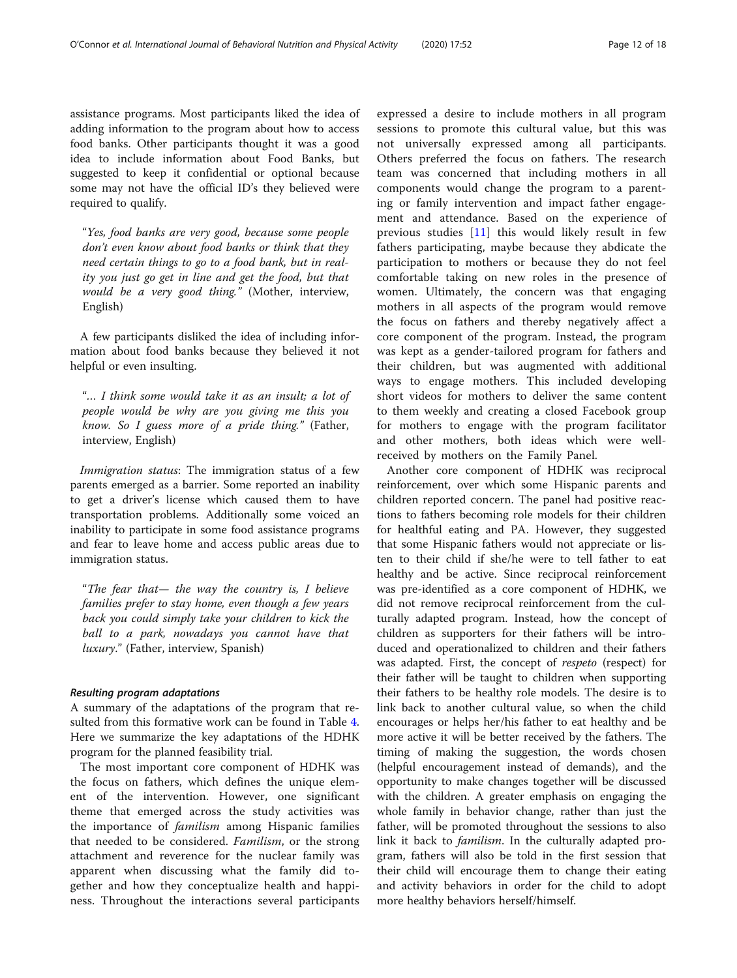assistance programs. Most participants liked the idea of adding information to the program about how to access food banks. Other participants thought it was a good idea to include information about Food Banks, but suggested to keep it confidential or optional because some may not have the official ID's they believed were required to qualify.

"Yes, food banks are very good, because some people don't even know about food banks or think that they need certain things to go to a food bank, but in reality you just go get in line and get the food, but that would be a very good thing." (Mother, interview, English)

A few participants disliked the idea of including information about food banks because they believed it not helpful or even insulting.

"… I think some would take it as an insult; a lot of people would be why are you giving me this you know. So I guess more of a pride thing." (Father, interview, English)

Immigration status: The immigration status of a few parents emerged as a barrier. Some reported an inability to get a driver's license which caused them to have transportation problems. Additionally some voiced an inability to participate in some food assistance programs and fear to leave home and access public areas due to immigration status.

"The fear that— the way the country is, I believe families prefer to stay home, even though a few years back you could simply take your children to kick the ball to a park, nowadays you cannot have that luxury." (Father, interview, Spanish)

#### Resulting program adaptations

A summary of the adaptations of the program that resulted from this formative work can be found in Table [4](#page-12-0). Here we summarize the key adaptations of the HDHK program for the planned feasibility trial.

The most important core component of HDHK was the focus on fathers, which defines the unique element of the intervention. However, one significant theme that emerged across the study activities was the importance of *familism* among Hispanic families that needed to be considered. Familism, or the strong attachment and reverence for the nuclear family was apparent when discussing what the family did together and how they conceptualize health and happiness. Throughout the interactions several participants expressed a desire to include mothers in all program sessions to promote this cultural value, but this was not universally expressed among all participants. Others preferred the focus on fathers. The research team was concerned that including mothers in all components would change the program to a parenting or family intervention and impact father engagement and attendance. Based on the experience of previous studies [\[11](#page-16-0)] this would likely result in few fathers participating, maybe because they abdicate the participation to mothers or because they do not feel comfortable taking on new roles in the presence of women. Ultimately, the concern was that engaging mothers in all aspects of the program would remove the focus on fathers and thereby negatively affect a core component of the program. Instead, the program was kept as a gender-tailored program for fathers and their children, but was augmented with additional ways to engage mothers. This included developing short videos for mothers to deliver the same content to them weekly and creating a closed Facebook group for mothers to engage with the program facilitator and other mothers, both ideas which were wellreceived by mothers on the Family Panel.

Another core component of HDHK was reciprocal reinforcement, over which some Hispanic parents and children reported concern. The panel had positive reactions to fathers becoming role models for their children for healthful eating and PA. However, they suggested that some Hispanic fathers would not appreciate or listen to their child if she/he were to tell father to eat healthy and be active. Since reciprocal reinforcement was pre-identified as a core component of HDHK, we did not remove reciprocal reinforcement from the culturally adapted program. Instead, how the concept of children as supporters for their fathers will be introduced and operationalized to children and their fathers was adapted. First, the concept of respeto (respect) for their father will be taught to children when supporting their fathers to be healthy role models. The desire is to link back to another cultural value, so when the child encourages or helps her/his father to eat healthy and be more active it will be better received by the fathers. The timing of making the suggestion, the words chosen (helpful encouragement instead of demands), and the opportunity to make changes together will be discussed with the children. A greater emphasis on engaging the whole family in behavior change, rather than just the father, will be promoted throughout the sessions to also link it back to *familism*. In the culturally adapted program, fathers will also be told in the first session that their child will encourage them to change their eating and activity behaviors in order for the child to adopt more healthy behaviors herself/himself.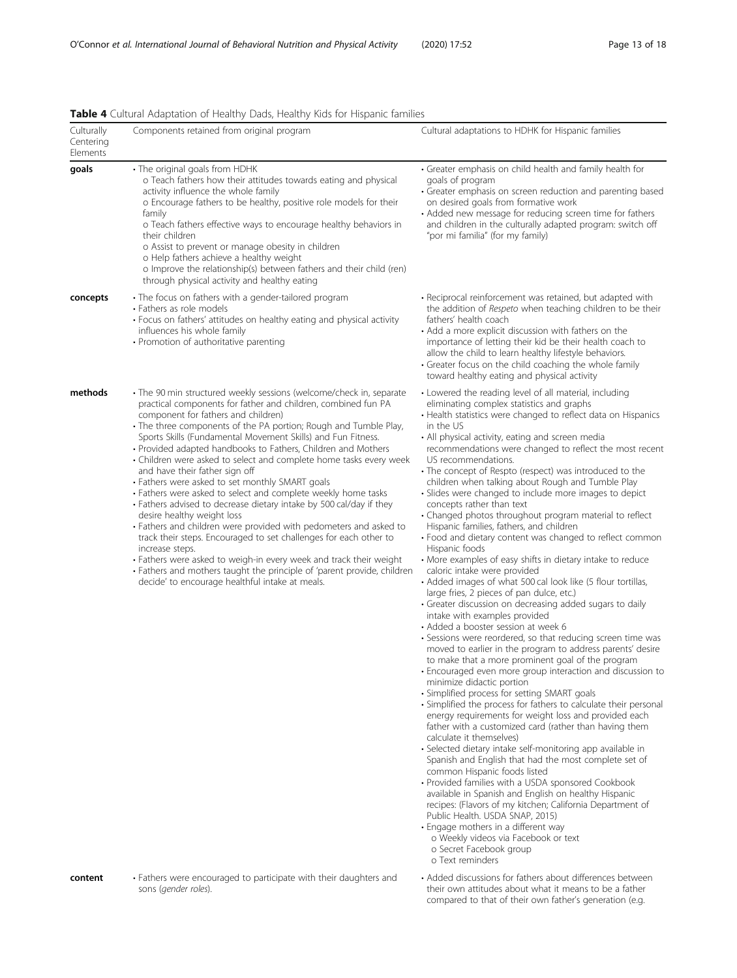| Centering<br>Elements |                                                                                                                                                                                                                                                                                                                                                                                                                                                                                                                                                                                                                                                                                                                                                                                                                                                                                                                                                                                                                                                                                    |                                                                                                                                                                                                                                                                                                                                                                                                                                                                                                                                                                                                                                                                                                                                                                                                                                                                                                                                                                                                                                                                                                                                                                                                                                                                                                                                                                                                                                                                                                                                                                                                                                                                                                                                                                                                                                                                                                                                                                                                                                                                                                                       |
|-----------------------|------------------------------------------------------------------------------------------------------------------------------------------------------------------------------------------------------------------------------------------------------------------------------------------------------------------------------------------------------------------------------------------------------------------------------------------------------------------------------------------------------------------------------------------------------------------------------------------------------------------------------------------------------------------------------------------------------------------------------------------------------------------------------------------------------------------------------------------------------------------------------------------------------------------------------------------------------------------------------------------------------------------------------------------------------------------------------------|-----------------------------------------------------------------------------------------------------------------------------------------------------------------------------------------------------------------------------------------------------------------------------------------------------------------------------------------------------------------------------------------------------------------------------------------------------------------------------------------------------------------------------------------------------------------------------------------------------------------------------------------------------------------------------------------------------------------------------------------------------------------------------------------------------------------------------------------------------------------------------------------------------------------------------------------------------------------------------------------------------------------------------------------------------------------------------------------------------------------------------------------------------------------------------------------------------------------------------------------------------------------------------------------------------------------------------------------------------------------------------------------------------------------------------------------------------------------------------------------------------------------------------------------------------------------------------------------------------------------------------------------------------------------------------------------------------------------------------------------------------------------------------------------------------------------------------------------------------------------------------------------------------------------------------------------------------------------------------------------------------------------------------------------------------------------------------------------------------------------------|
| goals                 | • The original goals from HDHK<br>o Teach fathers how their attitudes towards eating and physical<br>activity influence the whole family<br>o Encourage fathers to be healthy, positive role models for their<br>family<br>o Teach fathers effective ways to encourage healthy behaviors in<br>their children<br>o Assist to prevent or manage obesity in children<br>o Help fathers achieve a healthy weight<br>o Improve the relationship(s) between fathers and their child (ren)<br>through physical activity and healthy eating                                                                                                                                                                                                                                                                                                                                                                                                                                                                                                                                               | • Greater emphasis on child health and family health for<br>goals of program<br>· Greater emphasis on screen reduction and parenting based<br>on desired goals from formative work<br>• Added new message for reducing screen time for fathers<br>and children in the culturally adapted program: switch off<br>"por mi familia" (for my family)                                                                                                                                                                                                                                                                                                                                                                                                                                                                                                                                                                                                                                                                                                                                                                                                                                                                                                                                                                                                                                                                                                                                                                                                                                                                                                                                                                                                                                                                                                                                                                                                                                                                                                                                                                      |
| concepts              | • The focus on fathers with a gender-tailored program<br>• Fathers as role models<br>• Focus on fathers' attitudes on healthy eating and physical activity<br>influences his whole family<br>• Promotion of authoritative parenting                                                                                                                                                                                                                                                                                                                                                                                                                                                                                                                                                                                                                                                                                                                                                                                                                                                | • Reciprocal reinforcement was retained, but adapted with<br>the addition of Respeto when teaching children to be their<br>fathers' health coach<br>• Add a more explicit discussion with fathers on the<br>importance of letting their kid be their health coach to<br>allow the child to learn healthy lifestyle behaviors.<br>• Greater focus on the child coaching the whole family<br>toward healthy eating and physical activity                                                                                                                                                                                                                                                                                                                                                                                                                                                                                                                                                                                                                                                                                                                                                                                                                                                                                                                                                                                                                                                                                                                                                                                                                                                                                                                                                                                                                                                                                                                                                                                                                                                                                |
| methods               | • The 90 min structured weekly sessions (welcome/check in, separate<br>practical components for father and children, combined fun PA<br>component for fathers and children)<br>• The three components of the PA portion; Rough and Tumble Play,<br>Sports Skills (Fundamental Movement Skills) and Fun Fitness.<br>• Provided adapted handbooks to Fathers, Children and Mothers<br>• Children were asked to select and complete home tasks every week<br>and have their father sign off<br>• Fathers were asked to set monthly SMART goals<br>• Fathers were asked to select and complete weekly home tasks<br>• Fathers advised to decrease dietary intake by 500 cal/day if they<br>desire healthy weight loss<br>• Fathers and children were provided with pedometers and asked to<br>track their steps. Encouraged to set challenges for each other to<br>increase steps.<br>• Fathers were asked to weigh-in every week and track their weight<br>• Fathers and mothers taught the principle of 'parent provide, children<br>decide' to encourage healthful intake at meals. | • Lowered the reading level of all material, including<br>eliminating complex statistics and graphs<br>• Health statistics were changed to reflect data on Hispanics<br>in the US<br>• All physical activity, eating and screen media<br>recommendations were changed to reflect the most recent<br>US recommendations.<br>• The concept of Respto (respect) was introduced to the<br>children when talking about Rough and Tumble Play<br>· Slides were changed to include more images to depict<br>concepts rather than text<br>• Changed photos throughout program material to reflect<br>Hispanic families, fathers, and children<br>• Food and dietary content was changed to reflect common<br>Hispanic foods<br>• More examples of easy shifts in dietary intake to reduce<br>caloric intake were provided<br>• Added images of what 500 cal look like (5 flour tortillas,<br>large fries, 2 pieces of pan dulce, etc.)<br>• Greater discussion on decreasing added sugars to daily<br>intake with examples provided<br>• Added a booster session at week 6<br>· Sessions were reordered, so that reducing screen time was<br>moved to earlier in the program to address parents' desire<br>to make that a more prominent goal of the program<br>• Encouraged even more group interaction and discussion to<br>minimize didactic portion<br>· Simplified process for setting SMART goals<br>• Simplified the process for fathers to calculate their personal<br>energy requirements for weight loss and provided each<br>father with a customized card (rather than having them<br>calculate it themselves)<br>· Selected dietary intake self-monitoring app available in<br>Spanish and English that had the most complete set of<br>common Hispanic foods listed<br>• Provided families with a USDA sponsored Cookbook<br>available in Spanish and English on healthy Hispanic<br>recipes: (Flavors of my kitchen; California Department of<br>Public Health. USDA SNAP, 2015)<br>• Engage mothers in a different way<br>o Weekly videos via Facebook or text<br>o Secret Facebook group<br>o Text reminders |
| content               | • Fathers were encouraged to participate with their daughters and<br>sons (gender roles).                                                                                                                                                                                                                                                                                                                                                                                                                                                                                                                                                                                                                                                                                                                                                                                                                                                                                                                                                                                          | • Added discussions for fathers about differences between<br>their own attitudes about what it means to be a father                                                                                                                                                                                                                                                                                                                                                                                                                                                                                                                                                                                                                                                                                                                                                                                                                                                                                                                                                                                                                                                                                                                                                                                                                                                                                                                                                                                                                                                                                                                                                                                                                                                                                                                                                                                                                                                                                                                                                                                                   |

Components retained from original program Cultural adaptations to HDHK for Hispanic families

<span id="page-12-0"></span>Table 4 Cultural Adaptation of Healthy Dads, Healthy Kids for Hispanic families

**Culturally** 

• Added discussions for fathers about differences between their own attitudes about what it means to be a father compared to that of their own father's generation (e.g.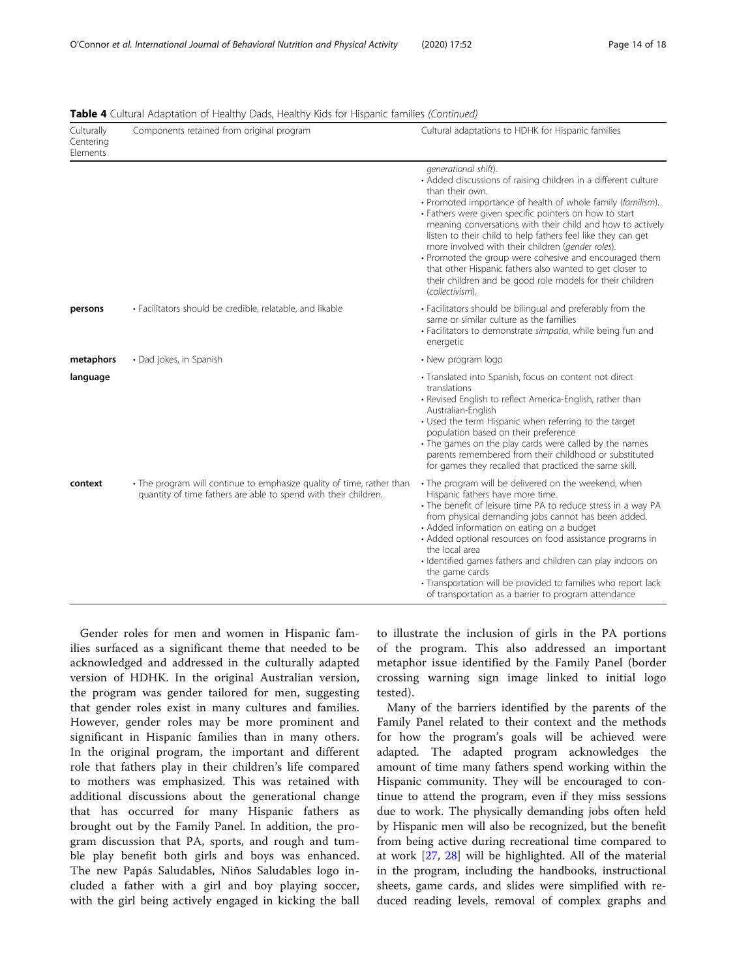| Culturally<br>Centering<br>Elements | Components retained from original program                                                                                                | Cultural adaptations to HDHK for Hispanic families                                                                                                                                                                                                                                                                                                                                                                                                                                                                                                                                                                          |
|-------------------------------------|------------------------------------------------------------------------------------------------------------------------------------------|-----------------------------------------------------------------------------------------------------------------------------------------------------------------------------------------------------------------------------------------------------------------------------------------------------------------------------------------------------------------------------------------------------------------------------------------------------------------------------------------------------------------------------------------------------------------------------------------------------------------------------|
|                                     |                                                                                                                                          | generational shift).<br>• Added discussions of raising children in a different culture<br>than their own.<br>• Promoted importance of health of whole family (familism).<br>• Fathers were given specific pointers on how to start<br>meaning conversations with their child and how to actively<br>listen to their child to help fathers feel like they can get<br>more involved with their children (gender roles).<br>• Promoted the group were cohesive and encouraged them<br>that other Hispanic fathers also wanted to get closer to<br>their children and be good role models for their children<br>(collectivism). |
| persons                             | • Facilitators should be credible, relatable, and likable                                                                                | • Facilitators should be bilingual and preferably from the<br>same or similar culture as the families<br>· Facilitators to demonstrate simpatia, while being fun and<br>energetic                                                                                                                                                                                                                                                                                                                                                                                                                                           |
| metaphors                           | • Dad jokes, in Spanish                                                                                                                  | • New program logo                                                                                                                                                                                                                                                                                                                                                                                                                                                                                                                                                                                                          |
| language                            |                                                                                                                                          | · Translated into Spanish, focus on content not direct<br>translations<br>• Revised English to reflect America-English, rather than<br>Australian-English<br>• Used the term Hispanic when referring to the target<br>population based on their preference<br>• The games on the play cards were called by the names<br>parents remembered from their childhood or substituted<br>for games they recalled that practiced the same skill.                                                                                                                                                                                    |
| context                             | • The program will continue to emphasize quality of time, rather than<br>quantity of time fathers are able to spend with their children. | • The program will be delivered on the weekend, when<br>Hispanic fathers have more time.<br>• The benefit of leisure time PA to reduce stress in a way PA<br>from physical demanding jobs cannot has been added.<br>• Added information on eating on a budget<br>• Added optional resources on food assistance programs in<br>the local area<br>· Identified games fathers and children can play indoors on<br>the game cards<br>· Transportation will be provided to families who report lack<br>of transportation as a barrier to program attendance                                                                      |

Table 4 Cultural Adaptation of Healthy Dads, Healthy Kids for Hispanic families (Continued)

Gender roles for men and women in Hispanic families surfaced as a significant theme that needed to be acknowledged and addressed in the culturally adapted version of HDHK. In the original Australian version, the program was gender tailored for men, suggesting that gender roles exist in many cultures and families. However, gender roles may be more prominent and significant in Hispanic families than in many others. In the original program, the important and different role that fathers play in their children's life compared to mothers was emphasized. This was retained with additional discussions about the generational change that has occurred for many Hispanic fathers as brought out by the Family Panel. In addition, the program discussion that PA, sports, and rough and tumble play benefit both girls and boys was enhanced. The new Papás Saludables, Niños Saludables logo included a father with a girl and boy playing soccer, with the girl being actively engaged in kicking the ball

to illustrate the inclusion of girls in the PA portions of the program. This also addressed an important metaphor issue identified by the Family Panel (border crossing warning sign image linked to initial logo tested).

Many of the barriers identified by the parents of the Family Panel related to their context and the methods for how the program's goals will be achieved were adapted. The adapted program acknowledges the amount of time many fathers spend working within the Hispanic community. They will be encouraged to continue to attend the program, even if they miss sessions due to work. The physically demanding jobs often held by Hispanic men will also be recognized, but the benefit from being active during recreational time compared to at work [[27,](#page-17-0) [28\]](#page-17-0) will be highlighted. All of the material in the program, including the handbooks, instructional sheets, game cards, and slides were simplified with reduced reading levels, removal of complex graphs and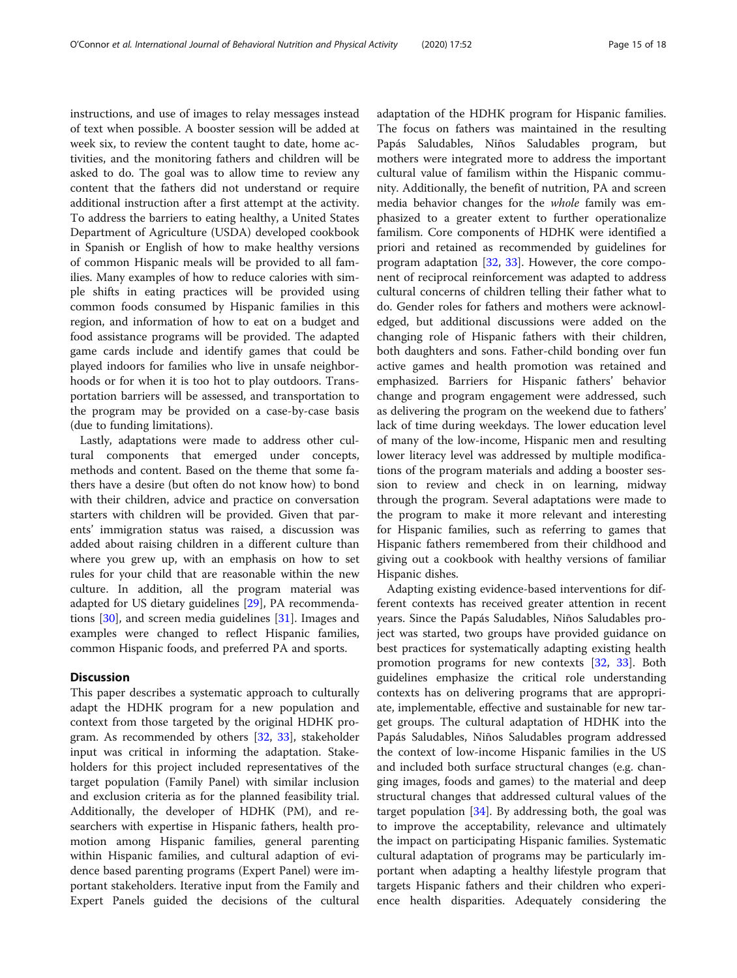instructions, and use of images to relay messages instead of text when possible. A booster session will be added at week six, to review the content taught to date, home activities, and the monitoring fathers and children will be asked to do. The goal was to allow time to review any content that the fathers did not understand or require additional instruction after a first attempt at the activity. To address the barriers to eating healthy, a United States Department of Agriculture (USDA) developed cookbook in Spanish or English of how to make healthy versions of common Hispanic meals will be provided to all families. Many examples of how to reduce calories with simple shifts in eating practices will be provided using common foods consumed by Hispanic families in this region, and information of how to eat on a budget and food assistance programs will be provided. The adapted game cards include and identify games that could be played indoors for families who live in unsafe neighborhoods or for when it is too hot to play outdoors. Transportation barriers will be assessed, and transportation to the program may be provided on a case-by-case basis (due to funding limitations).

Lastly, adaptations were made to address other cultural components that emerged under concepts, methods and content. Based on the theme that some fathers have a desire (but often do not know how) to bond with their children, advice and practice on conversation starters with children will be provided. Given that parents' immigration status was raised, a discussion was added about raising children in a different culture than where you grew up, with an emphasis on how to set rules for your child that are reasonable within the new culture. In addition, all the program material was adapted for US dietary guidelines [[29\]](#page-17-0), PA recommendations [\[30](#page-17-0)], and screen media guidelines [[31\]](#page-17-0). Images and examples were changed to reflect Hispanic families, common Hispanic foods, and preferred PA and sports.

#### **Discussion**

This paper describes a systematic approach to culturally adapt the HDHK program for a new population and context from those targeted by the original HDHK program. As recommended by others [\[32,](#page-17-0) [33](#page-17-0)], stakeholder input was critical in informing the adaptation. Stakeholders for this project included representatives of the target population (Family Panel) with similar inclusion and exclusion criteria as for the planned feasibility trial. Additionally, the developer of HDHK (PM), and researchers with expertise in Hispanic fathers, health promotion among Hispanic families, general parenting within Hispanic families, and cultural adaption of evidence based parenting programs (Expert Panel) were important stakeholders. Iterative input from the Family and Expert Panels guided the decisions of the cultural adaptation of the HDHK program for Hispanic families. The focus on fathers was maintained in the resulting Papás Saludables, Niños Saludables program, but mothers were integrated more to address the important cultural value of familism within the Hispanic community. Additionally, the benefit of nutrition, PA and screen media behavior changes for the whole family was emphasized to a greater extent to further operationalize familism. Core components of HDHK were identified a priori and retained as recommended by guidelines for program adaptation [[32,](#page-17-0) [33](#page-17-0)]. However, the core component of reciprocal reinforcement was adapted to address cultural concerns of children telling their father what to do. Gender roles for fathers and mothers were acknowledged, but additional discussions were added on the changing role of Hispanic fathers with their children, both daughters and sons. Father-child bonding over fun active games and health promotion was retained and emphasized. Barriers for Hispanic fathers' behavior change and program engagement were addressed, such as delivering the program on the weekend due to fathers' lack of time during weekdays. The lower education level of many of the low-income, Hispanic men and resulting lower literacy level was addressed by multiple modifications of the program materials and adding a booster session to review and check in on learning, midway through the program. Several adaptations were made to the program to make it more relevant and interesting for Hispanic families, such as referring to games that Hispanic fathers remembered from their childhood and giving out a cookbook with healthy versions of familiar Hispanic dishes.

Adapting existing evidence-based interventions for different contexts has received greater attention in recent years. Since the Papás Saludables, Niños Saludables project was started, two groups have provided guidance on best practices for systematically adapting existing health promotion programs for new contexts [[32,](#page-17-0) [33](#page-17-0)]. Both guidelines emphasize the critical role understanding contexts has on delivering programs that are appropriate, implementable, effective and sustainable for new target groups. The cultural adaptation of HDHK into the Papás Saludables, Niños Saludables program addressed the context of low-income Hispanic families in the US and included both surface structural changes (e.g. changing images, foods and games) to the material and deep structural changes that addressed cultural values of the target population  $[34]$  $[34]$ . By addressing both, the goal was to improve the acceptability, relevance and ultimately the impact on participating Hispanic families. Systematic cultural adaptation of programs may be particularly important when adapting a healthy lifestyle program that targets Hispanic fathers and their children who experience health disparities. Adequately considering the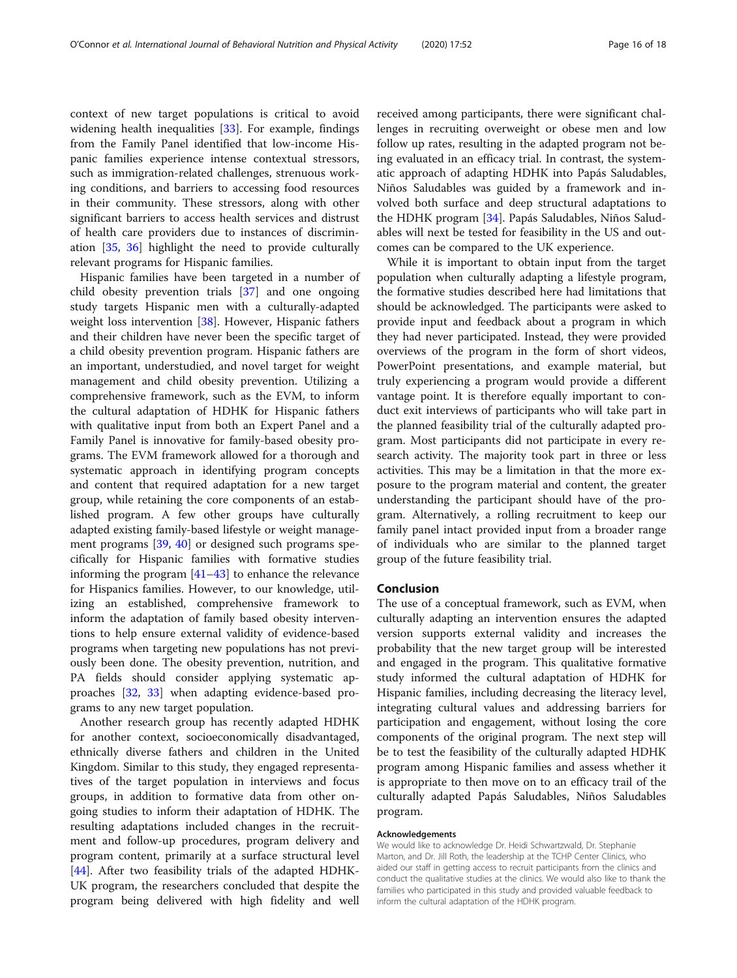context of new target populations is critical to avoid widening health inequalities [[33](#page-17-0)]. For example, findings from the Family Panel identified that low-income Hispanic families experience intense contextual stressors, such as immigration-related challenges, strenuous working conditions, and barriers to accessing food resources in their community. These stressors, along with other significant barriers to access health services and distrust of health care providers due to instances of discrimination [\[35](#page-17-0), [36](#page-17-0)] highlight the need to provide culturally relevant programs for Hispanic families.

Hispanic families have been targeted in a number of child obesity prevention trials [\[37](#page-17-0)] and one ongoing study targets Hispanic men with a culturally-adapted weight loss intervention [[38](#page-17-0)]. However, Hispanic fathers and their children have never been the specific target of a child obesity prevention program. Hispanic fathers are an important, understudied, and novel target for weight management and child obesity prevention. Utilizing a comprehensive framework, such as the EVM, to inform the cultural adaptation of HDHK for Hispanic fathers with qualitative input from both an Expert Panel and a Family Panel is innovative for family-based obesity programs. The EVM framework allowed for a thorough and systematic approach in identifying program concepts and content that required adaptation for a new target group, while retaining the core components of an established program. A few other groups have culturally adapted existing family-based lifestyle or weight management programs [\[39](#page-17-0), [40\]](#page-17-0) or designed such programs specifically for Hispanic families with formative studies informing the program  $[41-43]$  $[41-43]$  $[41-43]$  to enhance the relevance for Hispanics families. However, to our knowledge, utilizing an established, comprehensive framework to inform the adaptation of family based obesity interventions to help ensure external validity of evidence-based programs when targeting new populations has not previously been done. The obesity prevention, nutrition, and PA fields should consider applying systematic approaches [[32](#page-17-0), [33\]](#page-17-0) when adapting evidence-based programs to any new target population.

Another research group has recently adapted HDHK for another context, socioeconomically disadvantaged, ethnically diverse fathers and children in the United Kingdom. Similar to this study, they engaged representatives of the target population in interviews and focus groups, in addition to formative data from other ongoing studies to inform their adaptation of HDHK. The resulting adaptations included changes in the recruitment and follow-up procedures, program delivery and program content, primarily at a surface structural level [[44\]](#page-17-0). After two feasibility trials of the adapted HDHK-UK program, the researchers concluded that despite the program being delivered with high fidelity and well

received among participants, there were significant challenges in recruiting overweight or obese men and low follow up rates, resulting in the adapted program not being evaluated in an efficacy trial. In contrast, the systematic approach of adapting HDHK into Papás Saludables, Niños Saludables was guided by a framework and involved both surface and deep structural adaptations to the HDHK program [\[34](#page-17-0)]. Papás Saludables, Niños Saludables will next be tested for feasibility in the US and outcomes can be compared to the UK experience.

While it is important to obtain input from the target population when culturally adapting a lifestyle program, the formative studies described here had limitations that should be acknowledged. The participants were asked to provide input and feedback about a program in which they had never participated. Instead, they were provided overviews of the program in the form of short videos, PowerPoint presentations, and example material, but truly experiencing a program would provide a different vantage point. It is therefore equally important to conduct exit interviews of participants who will take part in the planned feasibility trial of the culturally adapted program. Most participants did not participate in every research activity. The majority took part in three or less activities. This may be a limitation in that the more exposure to the program material and content, the greater understanding the participant should have of the program. Alternatively, a rolling recruitment to keep our family panel intact provided input from a broader range of individuals who are similar to the planned target group of the future feasibility trial.

#### Conclusion

The use of a conceptual framework, such as EVM, when culturally adapting an intervention ensures the adapted version supports external validity and increases the probability that the new target group will be interested and engaged in the program. This qualitative formative study informed the cultural adaptation of HDHK for Hispanic families, including decreasing the literacy level, integrating cultural values and addressing barriers for participation and engagement, without losing the core components of the original program. The next step will be to test the feasibility of the culturally adapted HDHK program among Hispanic families and assess whether it is appropriate to then move on to an efficacy trail of the culturally adapted Papás Saludables, Niños Saludables program.

#### Acknowledgements

We would like to acknowledge Dr. Heidi Schwartzwald, Dr. Stephanie Marton, and Dr. Jill Roth, the leadership at the TCHP Center Clinics, who aided our staff in getting access to recruit participants from the clinics and conduct the qualitative studies at the clinics. We would also like to thank the families who participated in this study and provided valuable feedback to inform the cultural adaptation of the HDHK program.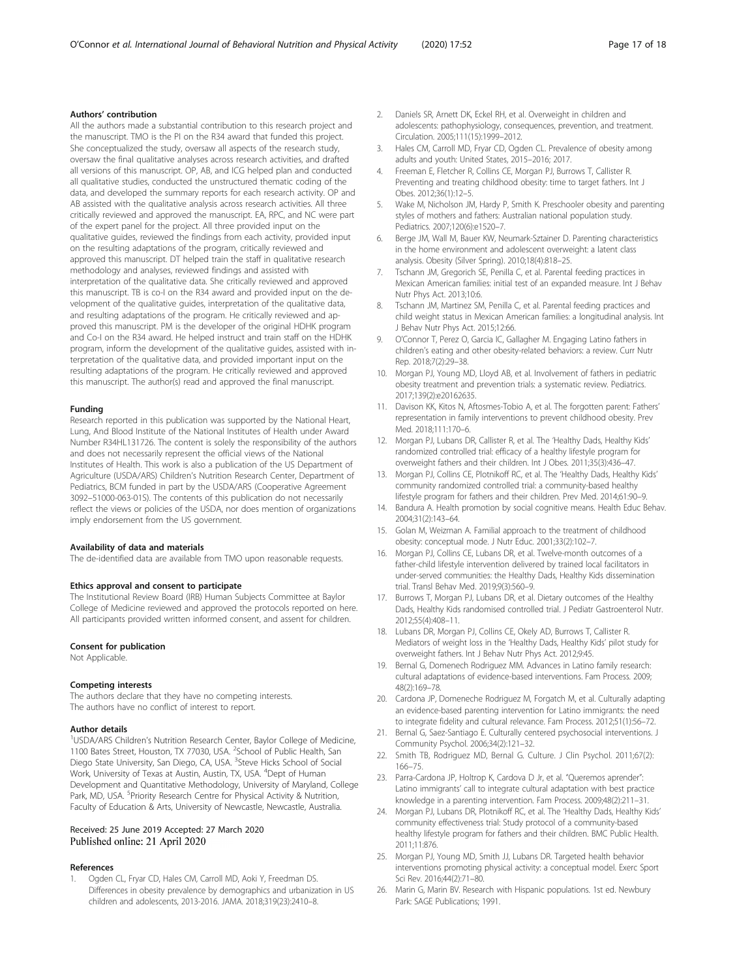#### <span id="page-16-0"></span>Authors' contribution

All the authors made a substantial contribution to this research project and the manuscript. TMO is the PI on the R34 award that funded this project. She conceptualized the study, oversaw all aspects of the research study, oversaw the final qualitative analyses across research activities, and drafted all versions of this manuscript. OP, AB, and ICG helped plan and conducted all qualitative studies, conducted the unstructured thematic coding of the data, and developed the summary reports for each research activity. OP and AB assisted with the qualitative analysis across research activities. All three critically reviewed and approved the manuscript. EA, RPC, and NC were part of the expert panel for the project. All three provided input on the qualitative guides, reviewed the findings from each activity, provided input on the resulting adaptations of the program, critically reviewed and approved this manuscript. DT helped train the staff in qualitative research methodology and analyses, reviewed findings and assisted with interpretation of the qualitative data. She critically reviewed and approved this manuscript. TB is co-I on the R34 award and provided input on the development of the qualitative guides, interpretation of the qualitative data, and resulting adaptations of the program. He critically reviewed and approved this manuscript. PM is the developer of the original HDHK program and Co-I on the R34 award. He helped instruct and train staff on the HDHK program, inform the development of the qualitative guides, assisted with interpretation of the qualitative data, and provided important input on the resulting adaptations of the program. He critically reviewed and approved this manuscript. The author(s) read and approved the final manuscript.

#### Funding

Research reported in this publication was supported by the National Heart, Lung, And Blood Institute of the National Institutes of Health under Award Number R34HL131726. The content is solely the responsibility of the authors and does not necessarily represent the official views of the National Institutes of Health. This work is also a publication of the US Department of Agriculture (USDA/ARS) Children's Nutrition Research Center, Department of Pediatrics, BCM funded in part by the USDA/ARS (Cooperative Agreement 3092–51000-063-01S). The contents of this publication do not necessarily reflect the views or policies of the USDA, nor does mention of organizations imply endorsement from the US government.

#### Availability of data and materials

The de-identified data are available from TMO upon reasonable requests.

#### Ethics approval and consent to participate

The Institutional Review Board (IRB) Human Subjects Committee at Baylor College of Medicine reviewed and approved the protocols reported on here. All participants provided written informed consent, and assent for children.

#### Consent for publication

Not Applicable.

#### Competing interests

The authors declare that they have no competing interests. The authors have no conflict of interest to report.

#### Author details

<sup>1</sup>USDA/ARS Children's Nutrition Research Center, Baylor College of Medicine, 1100 Bates Street, Houston, TX 77030, USA. <sup>2</sup>School of Public Health, San Diego State University, San Diego, CA, USA. <sup>3</sup>Steve Hicks School of Social Work, University of Texas at Austin, Austin, TX, USA. <sup>4</sup>Dept of Human Development and Quantitative Methodology, University of Maryland, College Park, MD, USA. <sup>5</sup>Priority Research Centre for Physical Activity & Nutrition, Faculty of Education & Arts, University of Newcastle, Newcastle, Australia.

#### Received: 25 June 2019 Accepted: 27 March 2020 Published online: 21 April 2020

#### References

1. Ogden CL, Fryar CD, Hales CM, Carroll MD, Aoki Y, Freedman DS. Differences in obesity prevalence by demographics and urbanization in US children and adolescents, 2013-2016. JAMA. 2018;319(23):2410–8.

- 2. Daniels SR, Arnett DK, Eckel RH, et al. Overweight in children and adolescents: pathophysiology, consequences, prevention, and treatment. Circulation. 2005;111(15):1999–2012.
- Hales CM, Carroll MD, Fryar CD, Ogden CL. Prevalence of obesity among adults and youth: United States, 2015–2016; 2017.
- 4. Freeman E, Fletcher R, Collins CE, Morgan PJ, Burrows T, Callister R. Preventing and treating childhood obesity: time to target fathers. Int J Obes. 2012;36(1):12–5.
- 5. Wake M, Nicholson JM, Hardy P, Smith K. Preschooler obesity and parenting styles of mothers and fathers: Australian national population study. Pediatrics. 2007;120(6):e1520–7.
- 6. Berge JM, Wall M, Bauer KW, Neumark-Sztainer D. Parenting characteristics in the home environment and adolescent overweight: a latent class analysis. Obesity (Silver Spring). 2010;18(4):818–25.
- 7. Tschann JM, Gregorich SE, Penilla C, et al. Parental feeding practices in Mexican American families: initial test of an expanded measure. Int J Behav Nutr Phys Act. 2013;10:6.
- 8. Tschann JM, Martinez SM, Penilla C, et al. Parental feeding practices and child weight status in Mexican American families: a longitudinal analysis. Int J Behav Nutr Phys Act. 2015;12:66.
- 9. O'Connor T, Perez O, Garcia IC, Gallagher M. Engaging Latino fathers in children's eating and other obesity-related behaviors: a review. Curr Nutr Rep. 2018;7(2):29–38.
- 10. Morgan PJ, Young MD, Lloyd AB, et al. Involvement of fathers in pediatric obesity treatment and prevention trials: a systematic review. Pediatrics. 2017;139(2):e20162635.
- 11. Davison KK, Kitos N, Aftosmes-Tobio A, et al. The forgotten parent: Fathers' representation in family interventions to prevent childhood obesity. Prev Med. 2018;111:170–6.
- 12. Morgan PJ, Lubans DR, Callister R, et al. The 'Healthy Dads, Healthy Kids' randomized controlled trial: efficacy of a healthy lifestyle program for overweight fathers and their children. Int J Obes. 2011;35(3):436–47.
- 13. Morgan PJ, Collins CE, Plotnikoff RC, et al. The 'Healthy Dads, Healthy Kids' community randomized controlled trial: a community-based healthy lifestyle program for fathers and their children. Prev Med. 2014;61:90–9.
- 14. Bandura A. Health promotion by social cognitive means. Health Educ Behav. 2004;31(2):143–64.
- 15. Golan M, Weizman A. Familial approach to the treatment of childhood obesity: conceptual mode. J Nutr Educ. 2001;33(2):102–7.
- 16. Morgan PJ, Collins CE, Lubans DR, et al. Twelve-month outcomes of a father-child lifestyle intervention delivered by trained local facilitators in under-served communities: the Healthy Dads, Healthy Kids dissemination trial. Transl Behav Med. 2019;9(3):560–9.
- 17. Burrows T, Morgan PJ, Lubans DR, et al. Dietary outcomes of the Healthy Dads, Healthy Kids randomised controlled trial. J Pediatr Gastroenterol Nutr. 2012;55(4):408–11.
- 18. Lubans DR, Morgan PJ, Collins CE, Okely AD, Burrows T, Callister R. Mediators of weight loss in the 'Healthy Dads, Healthy Kids' pilot study for overweight fathers. Int J Behav Nutr Phys Act. 2012;9:45.
- 19. Bernal G, Domenech Rodriguez MM. Advances in Latino family research: cultural adaptations of evidence-based interventions. Fam Process. 2009; 48(2):169–78.
- 20. Cardona JP, Domeneche Rodriguez M, Forgatch M, et al. Culturally adapting an evidence-based parenting intervention for Latino immigrants: the need to integrate fidelity and cultural relevance. Fam Process. 2012;51(1):56–72.
- 21. Bernal G, Saez-Santiago E. Culturally centered psychosocial interventions. J Community Psychol. 2006;34(2):121–32.
- 22. Smith TB, Rodriguez MD, Bernal G. Culture. J Clin Psychol. 2011;67(2): 166–75.
- 23. Parra-Cardona JP, Holtrop K, Cardova D Jr, et al. "Queremos aprender": Latino immigrants' call to integrate cultural adaptation with best practice knowledge in a parenting intervention. Fam Process. 2009;48(2):211–31.
- 24. Morgan PJ, Lubans DR, Plotnikoff RC, et al. The 'Healthy Dads, Healthy Kids' community effectiveness trial: Study protocol of a community-based healthy lifestyle program for fathers and their children. BMC Public Health. 2011;11:876.
- 25. Morgan PJ, Young MD, Smith JJ, Lubans DR. Targeted health behavior interventions promoting physical activity: a conceptual model. Exerc Sport Sci Rev. 2016;44(2):71–80.
- 26. Marin G, Marin BV. Research with Hispanic populations. 1st ed. Newbury Park: SAGE Publications; 1991.